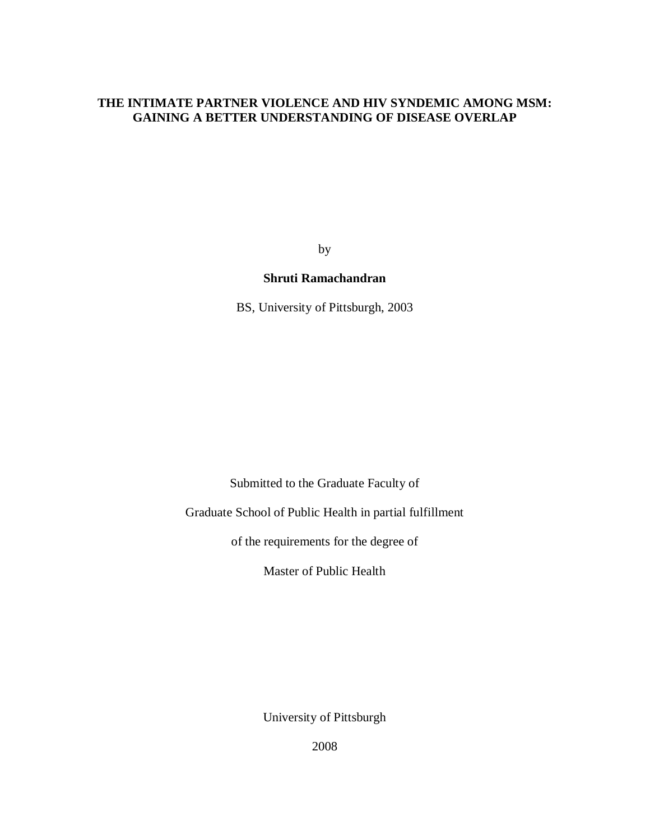## **THE INTIMATE PARTNER VIOLENCE AND HIV SYNDEMIC AMONG MSM: GAINING A BETTER UNDERSTANDING OF DISEASE OVERLAP**

by

### **Shruti Ramachandran**

BS, University of Pittsburgh, 2003

Submitted to the Graduate Faculty of

Graduate School of Public Health in partial fulfillment

of the requirements for the degree of

Master of Public Health

University of Pittsburgh

2008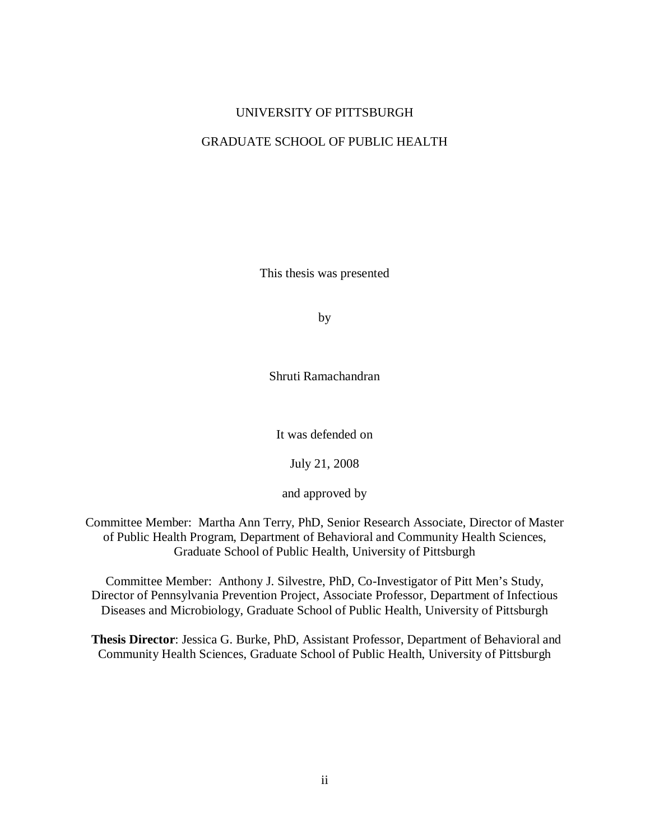### UNIVERSITY OF PITTSBURGH

### GRADUATE SCHOOL OF PUBLIC HEALTH

This thesis was presented

by

Shruti Ramachandran

It was defended on

July 21, 2008

and approved by

Committee Member: Martha Ann Terry, PhD, Senior Research Associate, Director of Master of Public Health Program, Department of Behavioral and Community Health Sciences, Graduate School of Public Health, University of Pittsburgh

Committee Member: Anthony J. Silvestre, PhD, Co-Investigator of Pitt Men's Study, Director of Pennsylvania Prevention Project, Associate Professor, Department of Infectious Diseases and Microbiology, Graduate School of Public Health, University of Pittsburgh

**Thesis Director**: Jessica G. Burke, PhD, Assistant Professor, Department of Behavioral and Community Health Sciences, Graduate School of Public Health, University of Pittsburgh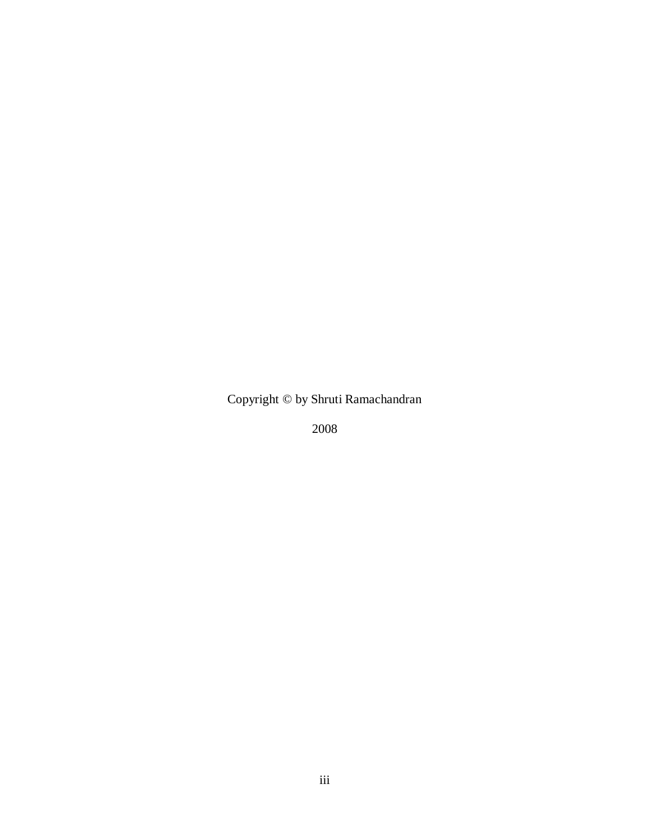Copyright © by Shruti Ramachandran

2008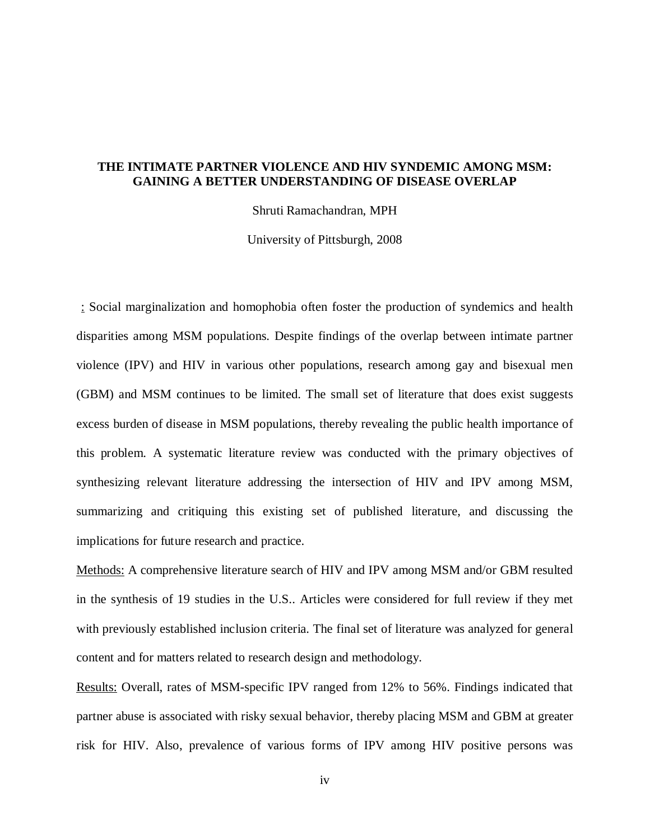### **THE INTIMATE PARTNER VIOLENCE AND HIV SYNDEMIC AMONG MSM: GAINING A BETTER UNDERSTANDING OF DISEASE OVERLAP**

Shruti Ramachandran, MPH

University of Pittsburgh, 2008

: Social marginalization and homophobia often foster the production of syndemics and health disparities among MSM populations. Despite findings of the overlap between intimate partner violence (IPV) and HIV in various other populations, research among gay and bisexual men (GBM) and MSM continues to be limited. The small set of literature that does exist suggests excess burden of disease in MSM populations, thereby revealing the public health importance of this problem. A systematic literature review was conducted with the primary objectives of synthesizing relevant literature addressing the intersection of HIV and IPV among MSM, summarizing and critiquing this existing set of published literature, and discussing the implications for future research and practice.

Methods: A comprehensive literature search of HIV and IPV among MSM and/or GBM resulted in the synthesis of 19 studies in the U.S.. Articles were considered for full review if they met with previously established inclusion criteria. The final set of literature was analyzed for general content and for matters related to research design and methodology.

Results: Overall, rates of MSM-specific IPV ranged from 12% to 56%. Findings indicated that partner abuse is associated with risky sexual behavior, thereby placing MSM and GBM at greater risk for HIV. Also, prevalence of various forms of IPV among HIV positive persons was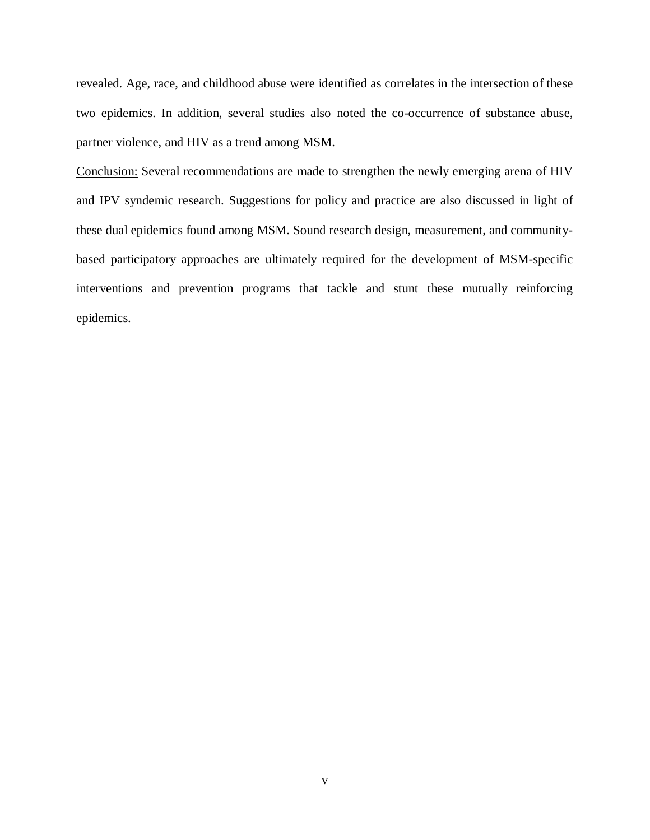revealed. Age, race, and childhood abuse were identified as correlates in the intersection of these two epidemics. In addition, several studies also noted the co-occurrence of substance abuse, partner violence, and HIV as a trend among MSM.

Conclusion: Several recommendations are made to strengthen the newly emerging arena of HIV and IPV syndemic research. Suggestions for policy and practice are also discussed in light of these dual epidemics found among MSM. Sound research design, measurement, and communitybased participatory approaches are ultimately required for the development of MSM-specific interventions and prevention programs that tackle and stunt these mutually reinforcing epidemics.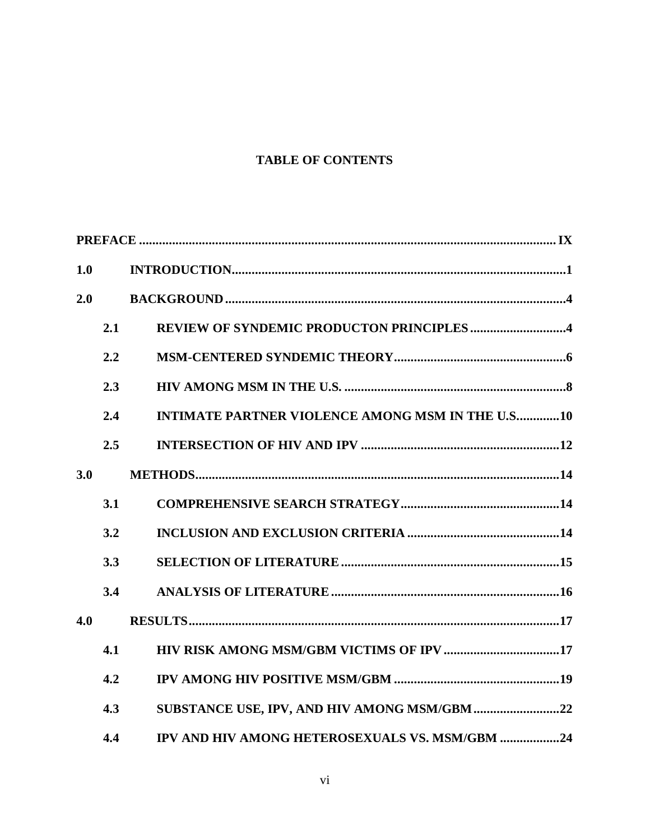# **TABLE OF CONTENTS**

| 1.0 |     |                                                         |
|-----|-----|---------------------------------------------------------|
| 2.0 |     |                                                         |
|     | 2.1 | REVIEW OF SYNDEMIC PRODUCTON PRINCIPLES4                |
|     | 2.2 |                                                         |
|     | 2.3 |                                                         |
|     | 2.4 | <b>INTIMATE PARTNER VIOLENCE AMONG MSM IN THE U.S10</b> |
|     | 2.5 |                                                         |
| 3.0 |     |                                                         |
|     | 3.1 |                                                         |
|     | 3.2 |                                                         |
|     | 3.3 |                                                         |
|     | 3.4 |                                                         |
| 4.0 |     |                                                         |
|     | 4.1 |                                                         |
|     | 4.2 |                                                         |
|     | 4.3 |                                                         |
|     | 4.4 | IPV AND HIV AMONG HETEROSEXUALS VS. MSM/GBM 24          |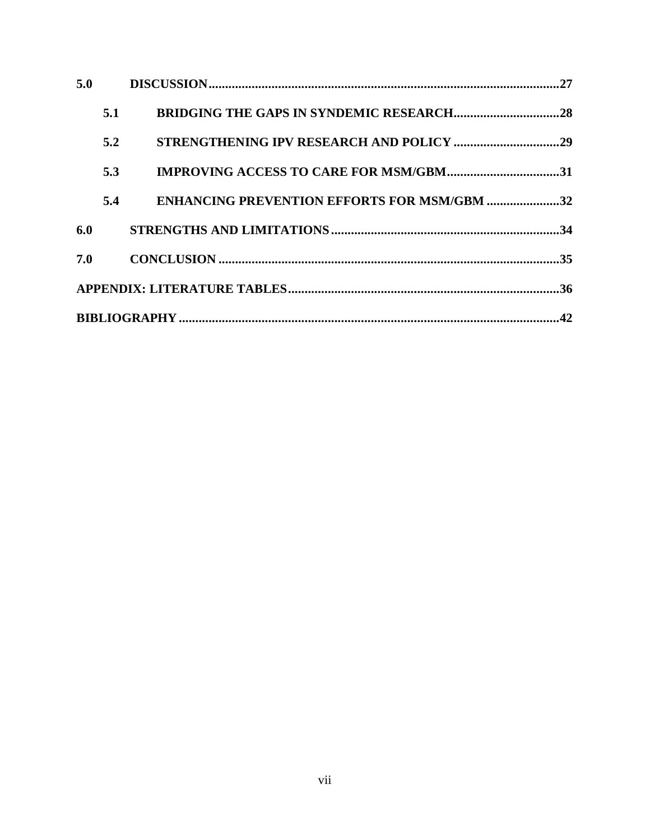| 5.0 |                                                    |  |
|-----|----------------------------------------------------|--|
| 5.1 |                                                    |  |
| 5.2 |                                                    |  |
| 5.3 |                                                    |  |
| 5.4 | <b>ENHANCING PREVENTION EFFORTS FOR MSM/GBM 32</b> |  |
|     |                                                    |  |
|     |                                                    |  |
|     |                                                    |  |
|     |                                                    |  |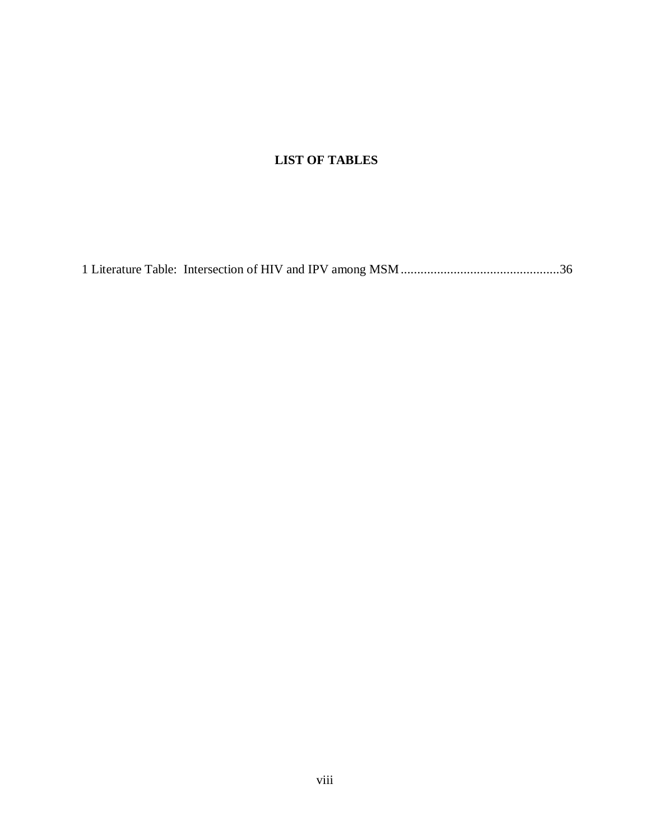# **LIST OF TABLES**

[1 Literature Table: Intersection of HIV and IPV among MSM................................................36](#page-44-1)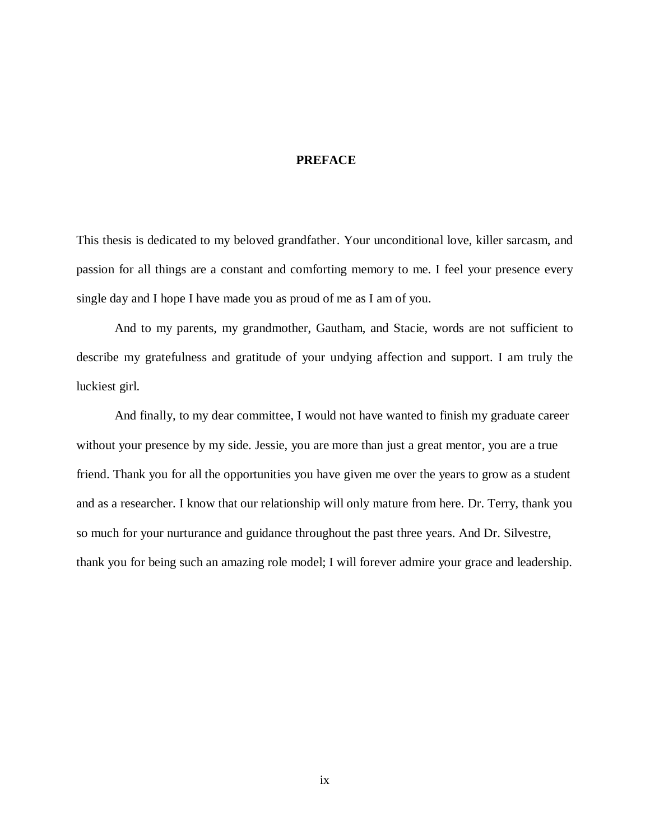#### <span id="page-8-0"></span>**PREFACE**

This thesis is dedicated to my beloved grandfather. Your unconditional love, killer sarcasm, and passion for all things are a constant and comforting memory to me. I feel your presence every single day and I hope I have made you as proud of me as I am of you.

And to my parents, my grandmother, Gautham, and Stacie, words are not sufficient to describe my gratefulness and gratitude of your undying affection and support. I am truly the luckiest girl.

And finally, to my dear committee, I would not have wanted to finish my graduate career without your presence by my side. Jessie, you are more than just a great mentor, you are a true friend. Thank you for all the opportunities you have given me over the years to grow as a student and as a researcher. I know that our relationship will only mature from here. Dr. Terry, thank you so much for your nurturance and guidance throughout the past three years. And Dr. Silvestre, thank you for being such an amazing role model; I will forever admire your grace and leadership.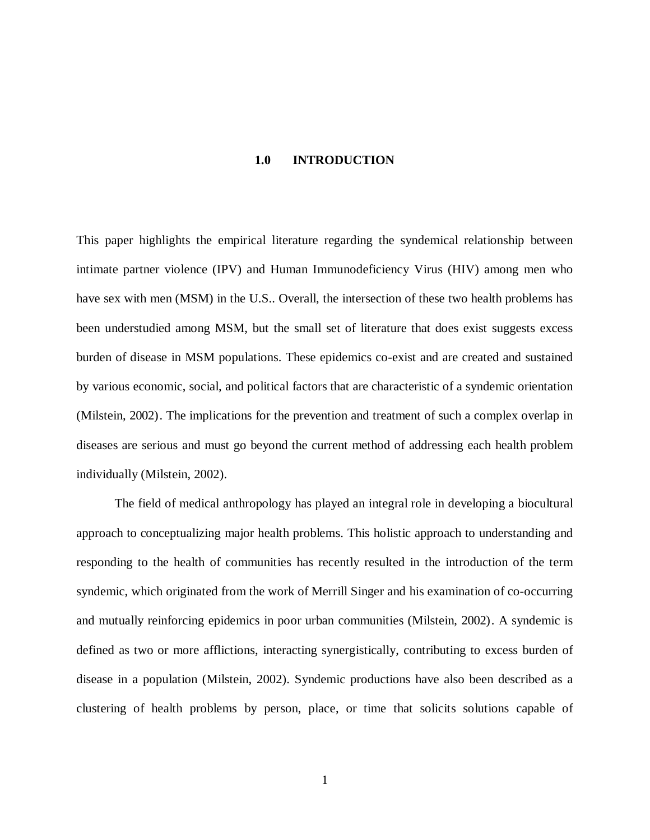#### **1.0 INTRODUCTION**

<span id="page-9-0"></span>This paper highlights the empirical literature regarding the syndemical relationship between intimate partner violence (IPV) and Human Immunodeficiency Virus (HIV) among men who have sex with men (MSM) in the U.S.. Overall, the intersection of these two health problems has been understudied among MSM, but the small set of literature that does exist suggests excess burden of disease in MSM populations. These epidemics co-exist and are created and sustained by various economic, social, and political factors that are characteristic of a syndemic orientation (Milstein, 2002). The implications for the prevention and treatment of such a complex overlap in diseases are serious and must go beyond the current method of addressing each health problem individually (Milstein, 2002).

The field of medical anthropology has played an integral role in developing a biocultural approach to conceptualizing major health problems. This holistic approach to understanding and responding to the health of communities has recently resulted in the introduction of the term syndemic, which originated from the work of Merrill Singer and his examination of co-occurring and mutually reinforcing epidemics in poor urban communities (Milstein, 2002). A syndemic is defined as two or more afflictions, interacting synergistically, contributing to excess burden of disease in a population (Milstein, 2002). Syndemic productions have also been described as a clustering of health problems by person, place, or time that solicits solutions capable of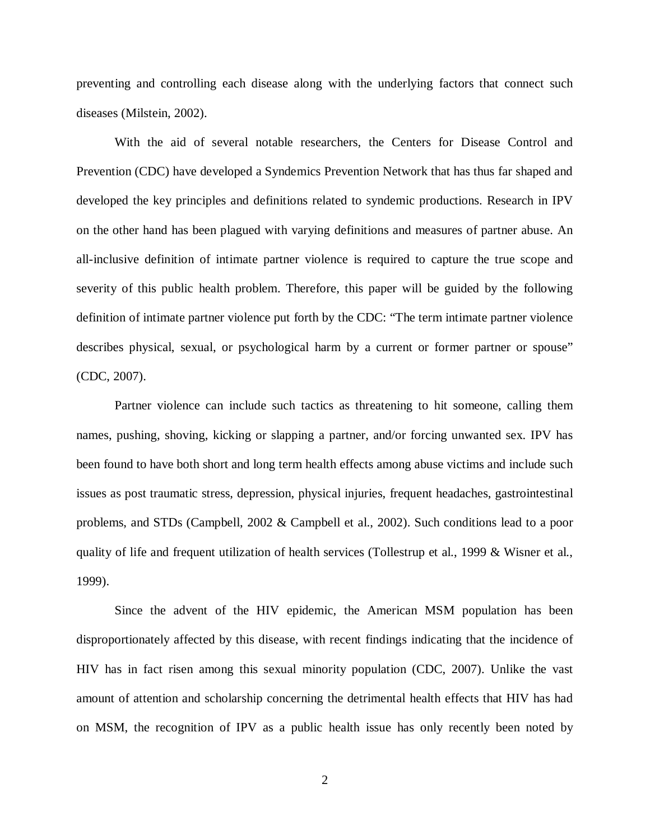preventing and controlling each disease along with the underlying factors that connect such diseases (Milstein, 2002).

With the aid of several notable researchers, the Centers for Disease Control and Prevention (CDC) have developed a Syndemics Prevention Network that has thus far shaped and developed the key principles and definitions related to syndemic productions. Research in IPV on the other hand has been plagued with varying definitions and measures of partner abuse. An all-inclusive definition of intimate partner violence is required to capture the true scope and severity of this public health problem. Therefore, this paper will be guided by the following definition of intimate partner violence put forth by the CDC: "The term intimate partner violence describes physical, sexual, or psychological harm by a current or former partner or spouse" (CDC, 2007).

Partner violence can include such tactics as threatening to hit someone, calling them names, pushing, shoving, kicking or slapping a partner, and/or forcing unwanted sex. IPV has been found to have both short and long term health effects among abuse victims and include such issues as post traumatic stress, depression, physical injuries, frequent headaches, gastrointestinal problems, and STDs (Campbell, 2002 & Campbell et al., 2002). Such conditions lead to a poor quality of life and frequent utilization of health services (Tollestrup et al., 1999 & Wisner et al., 1999).

Since the advent of the HIV epidemic, the American MSM population has been disproportionately affected by this disease, with recent findings indicating that the incidence of HIV has in fact risen among this sexual minority population (CDC, 2007). Unlike the vast amount of attention and scholarship concerning the detrimental health effects that HIV has had on MSM, the recognition of IPV as a public health issue has only recently been noted by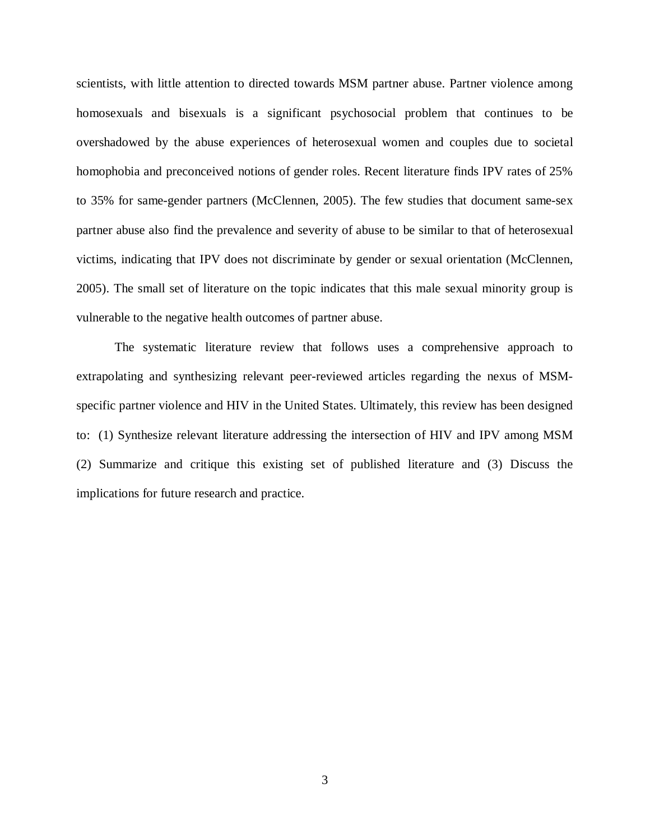scientists, with little attention to directed towards MSM partner abuse. Partner violence among homosexuals and bisexuals is a significant psychosocial problem that continues to be overshadowed by the abuse experiences of heterosexual women and couples due to societal homophobia and preconceived notions of gender roles. Recent literature finds IPV rates of 25% to 35% for same-gender partners (McClennen, 2005). The few studies that document same-sex partner abuse also find the prevalence and severity of abuse to be similar to that of heterosexual victims, indicating that IPV does not discriminate by gender or sexual orientation (McClennen, 2005). The small set of literature on the topic indicates that this male sexual minority group is vulnerable to the negative health outcomes of partner abuse.

The systematic literature review that follows uses a comprehensive approach to extrapolating and synthesizing relevant peer-reviewed articles regarding the nexus of MSMspecific partner violence and HIV in the United States. Ultimately, this review has been designed to: (1) Synthesize relevant literature addressing the intersection of HIV and IPV among MSM (2) Summarize and critique this existing set of published literature and (3) Discuss the implications for future research and practice.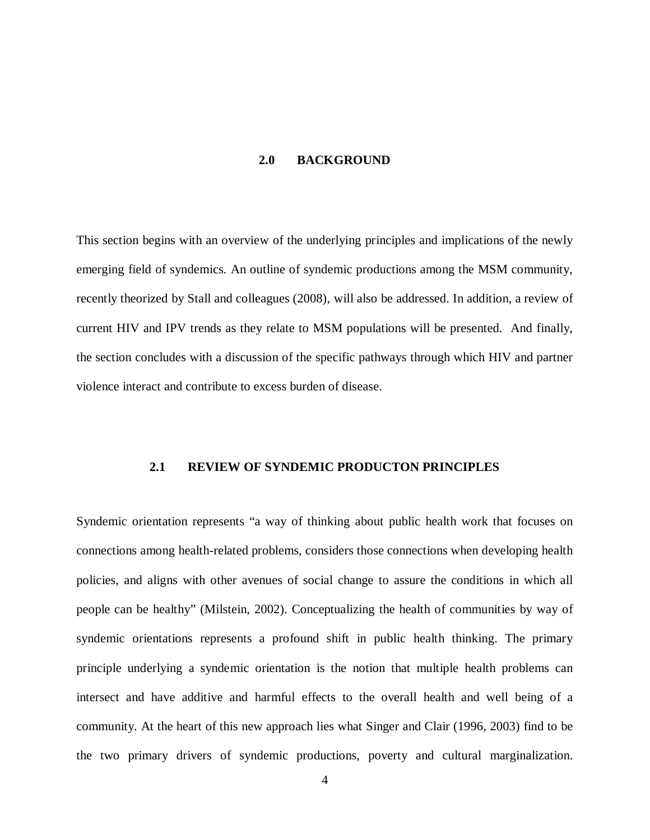#### **2.0 BACKGROUND**

<span id="page-12-0"></span>This section begins with an overview of the underlying principles and implications of the newly emerging field of syndemics. An outline of syndemic productions among the MSM community, recently theorized by Stall and colleagues (2008), will also be addressed. In addition, a review of current HIV and IPV trends as they relate to MSM populations will be presented. And finally, the section concludes with a discussion of the specific pathways through which HIV and partner violence interact and contribute to excess burden of disease.

#### <span id="page-12-1"></span>**2.1 REVIEW OF SYNDEMIC PRODUCTON PRINCIPLES**

Syndemic orientation represents "a way of thinking about public health work that focuses on connections among health-related problems, considers those connections when developing health policies, and aligns with other avenues of social change to assure the conditions in which all people can be healthy" (Milstein, 2002). Conceptualizing the health of communities by way of syndemic orientations represents a profound shift in public health thinking. The primary principle underlying a syndemic orientation is the notion that multiple health problems can intersect and have additive and harmful effects to the overall health and well being of a community. At the heart of this new approach lies what Singer and Clair (1996, 2003) find to be the two primary drivers of syndemic productions, poverty and cultural marginalization.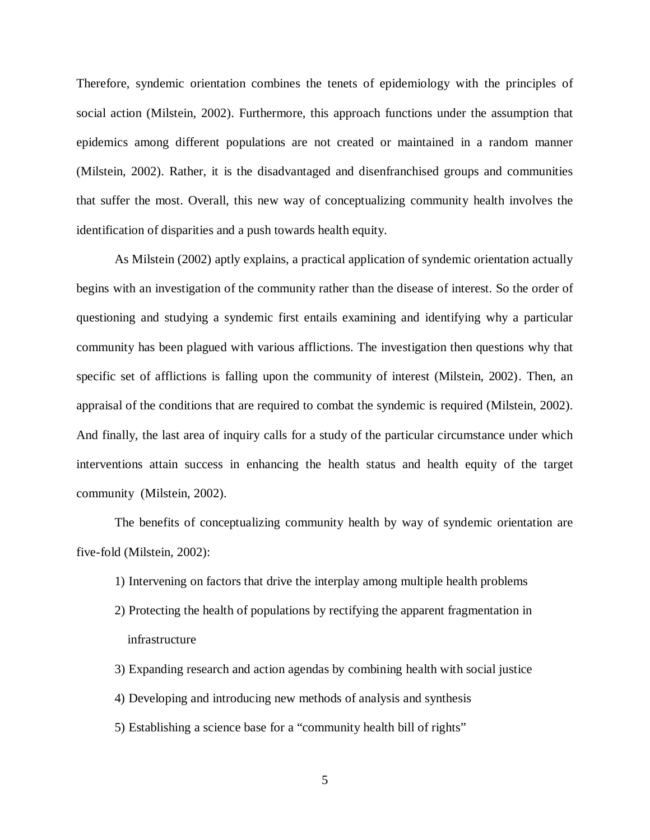Therefore, syndemic orientation combines the tenets of epidemiology with the principles of social action (Milstein, 2002). Furthermore, this approach functions under the assumption that epidemics among different populations are not created or maintained in a random manner (Milstein, 2002). Rather, it is the disadvantaged and disenfranchised groups and communities that suffer the most. Overall, this new way of conceptualizing community health involves the identification of disparities and a push towards health equity.

As Milstein (2002) aptly explains, a practical application of syndemic orientation actually begins with an investigation of the community rather than the disease of interest. So the order of questioning and studying a syndemic first entails examining and identifying why a particular community has been plagued with various afflictions. The investigation then questions why that specific set of afflictions is falling upon the community of interest (Milstein, 2002). Then, an appraisal of the conditions that are required to combat the syndemic is required (Milstein, 2002). And finally, the last area of inquiry calls for a study of the particular circumstance under which interventions attain success in enhancing the health status and health equity of the target community (Milstein, 2002).

The benefits of conceptualizing community health by way of syndemic orientation are five-fold (Milstein, 2002):

- 1) Intervening on factors that drive the interplay among multiple health problems
- 2) Protecting the health of populations by rectifying the apparent fragmentation in infrastructure
- 3) Expanding research and action agendas by combining health with social justice
- 4) Developing and introducing new methods of analysis and synthesis
- 5) Establishing a science base for a "community health bill of rights"

5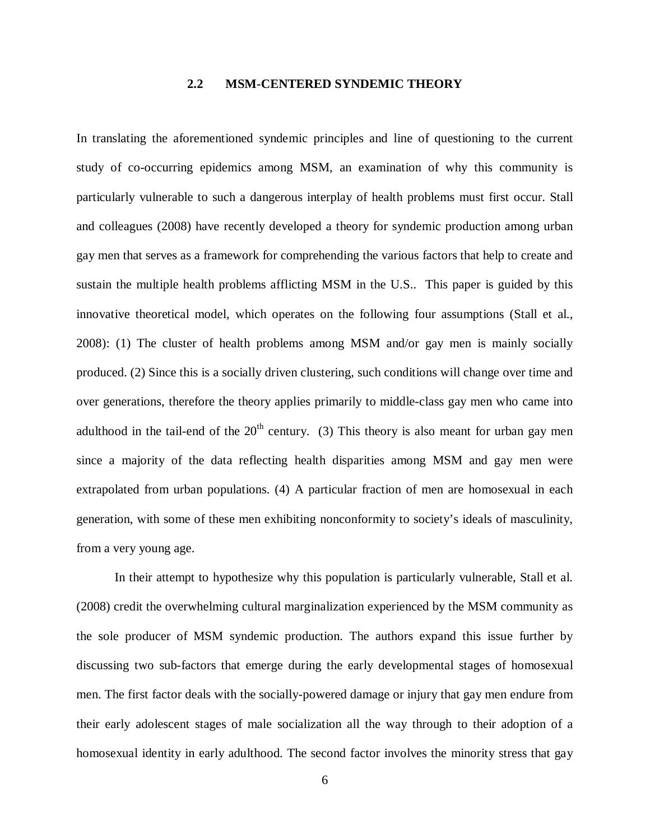### **2.2 MSM-CENTERED SYNDEMIC THEORY**

<span id="page-14-0"></span>In translating the aforementioned syndemic principles and line of questioning to the current study of co-occurring epidemics among MSM, an examination of why this community is particularly vulnerable to such a dangerous interplay of health problems must first occur. Stall and colleagues (2008) have recently developed a theory for syndemic production among urban gay men that serves as a framework for comprehending the various factors that help to create and sustain the multiple health problems afflicting MSM in the U.S.. This paper is guided by this innovative theoretical model, which operates on the following four assumptions (Stall et al., 2008): (1) The cluster of health problems among MSM and/or gay men is mainly socially produced. (2) Since this is a socially driven clustering, such conditions will change over time and over generations, therefore the theory applies primarily to middle-class gay men who came into adulthood in the tail-end of the  $20<sup>th</sup>$  century. (3) This theory is also meant for urban gay men since a majority of the data reflecting health disparities among MSM and gay men were extrapolated from urban populations. (4) A particular fraction of men are homosexual in each generation, with some of these men exhibiting nonconformity to society's ideals of masculinity, from a very young age.

In their attempt to hypothesize why this population is particularly vulnerable, Stall et al. (2008) credit the overwhelming cultural marginalization experienced by the MSM community as the sole producer of MSM syndemic production. The authors expand this issue further by discussing two sub-factors that emerge during the early developmental stages of homosexual men. The first factor deals with the socially-powered damage or injury that gay men endure from their early adolescent stages of male socialization all the way through to their adoption of a homosexual identity in early adulthood. The second factor involves the minority stress that gay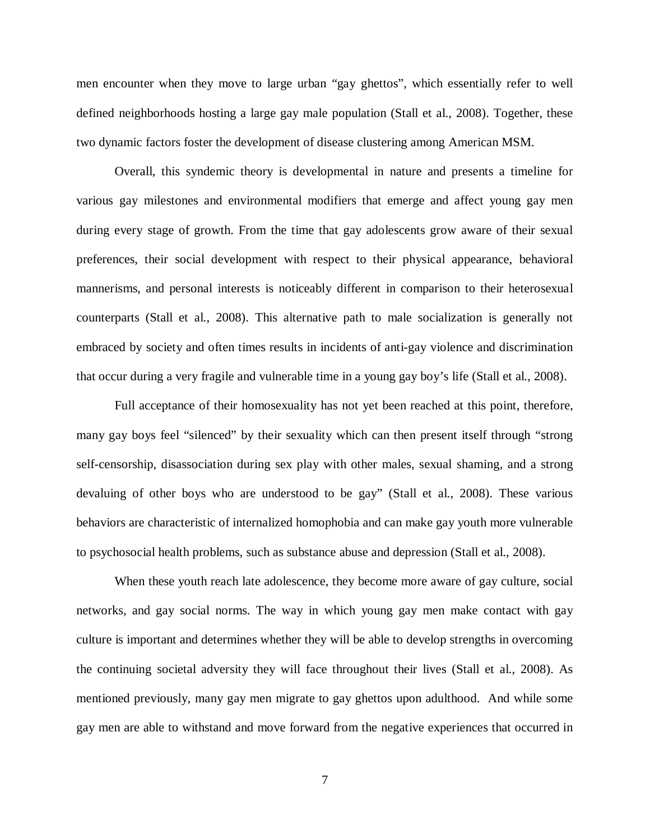men encounter when they move to large urban "gay ghettos", which essentially refer to well defined neighborhoods hosting a large gay male population (Stall et al., 2008). Together, these two dynamic factors foster the development of disease clustering among American MSM.

Overall, this syndemic theory is developmental in nature and presents a timeline for various gay milestones and environmental modifiers that emerge and affect young gay men during every stage of growth. From the time that gay adolescents grow aware of their sexual preferences, their social development with respect to their physical appearance, behavioral mannerisms, and personal interests is noticeably different in comparison to their heterosexual counterparts (Stall et al., 2008). This alternative path to male socialization is generally not embraced by society and often times results in incidents of anti-gay violence and discrimination that occur during a very fragile and vulnerable time in a young gay boy's life (Stall et al., 2008).

Full acceptance of their homosexuality has not yet been reached at this point, therefore, many gay boys feel "silenced" by their sexuality which can then present itself through "strong self-censorship, disassociation during sex play with other males, sexual shaming, and a strong devaluing of other boys who are understood to be gay" (Stall et al., 2008). These various behaviors are characteristic of internalized homophobia and can make gay youth more vulnerable to psychosocial health problems, such as substance abuse and depression (Stall et al., 2008).

When these youth reach late adolescence, they become more aware of gay culture, social networks, and gay social norms. The way in which young gay men make contact with gay culture is important and determines whether they will be able to develop strengths in overcoming the continuing societal adversity they will face throughout their lives (Stall et al., 2008). As mentioned previously, many gay men migrate to gay ghettos upon adulthood. And while some gay men are able to withstand and move forward from the negative experiences that occurred in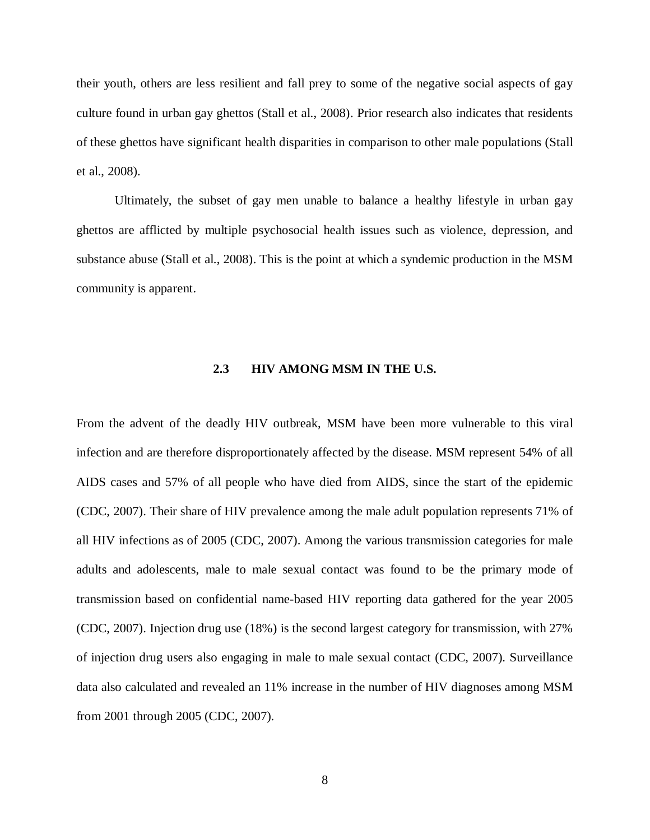their youth, others are less resilient and fall prey to some of the negative social aspects of gay culture found in urban gay ghettos (Stall et al., 2008). Prior research also indicates that residents of these ghettos have significant health disparities in comparison to other male populations (Stall et al., 2008).

Ultimately, the subset of gay men unable to balance a healthy lifestyle in urban gay ghettos are afflicted by multiple psychosocial health issues such as violence, depression, and substance abuse (Stall et al., 2008). This is the point at which a syndemic production in the MSM community is apparent.

### **2.3 HIV AMONG MSM IN THE U.S.**

<span id="page-16-0"></span>From the advent of the deadly HIV outbreak, MSM have been more vulnerable to this viral infection and are therefore disproportionately affected by the disease. MSM represent 54% of all AIDS cases and 57% of all people who have died from AIDS, since the start of the epidemic (CDC, 2007). Their share of HIV prevalence among the male adult population represents 71% of all HIV infections as of 2005 (CDC, 2007). Among the various transmission categories for male adults and adolescents, male to male sexual contact was found to be the primary mode of transmission based on confidential name-based HIV reporting data gathered for the year 2005 (CDC, 2007). Injection drug use (18%) is the second largest category for transmission, with 27% of injection drug users also engaging in male to male sexual contact (CDC, 2007). Surveillance data also calculated and revealed an 11% increase in the number of HIV diagnoses among MSM from 2001 through 2005 (CDC, 2007).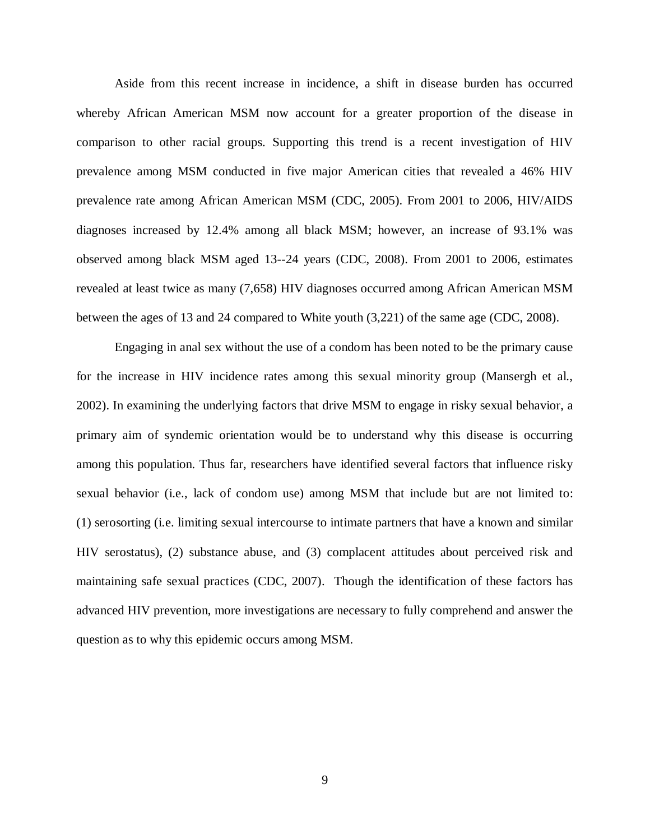Aside from this recent increase in incidence, a shift in disease burden has occurred whereby African American MSM now account for a greater proportion of the disease in comparison to other racial groups. Supporting this trend is a recent investigation of HIV prevalence among MSM conducted in five major American cities that revealed a 46% HIV prevalence rate among African American MSM (CDC, 2005). From 2001 to 2006, HIV/AIDS diagnoses increased by 12.4% among all black MSM; however, an increase of 93.1% was observed among black MSM aged 13--24 years (CDC, 2008). From 2001 to 2006, estimates revealed at least twice as many (7,658) HIV diagnoses occurred among African American MSM between the ages of 13 and 24 compared to White youth (3,221) of the same age (CDC, 2008).

Engaging in anal sex without the use of a condom has been noted to be the primary cause for the increase in HIV incidence rates among this sexual minority group (Mansergh et al., 2002). In examining the underlying factors that drive MSM to engage in risky sexual behavior, a primary aim of syndemic orientation would be to understand why this disease is occurring among this population. Thus far, researchers have identified several factors that influence risky sexual behavior (i.e., lack of condom use) among MSM that include but are not limited to: (1) serosorting (i.e. limiting sexual intercourse to intimate partners that have a known and similar HIV serostatus), (2) substance abuse, and (3) complacent attitudes about perceived risk and maintaining safe sexual practices (CDC, 2007). Though the identification of these factors has advanced HIV prevention, more investigations are necessary to fully comprehend and answer the question as to why this epidemic occurs among MSM.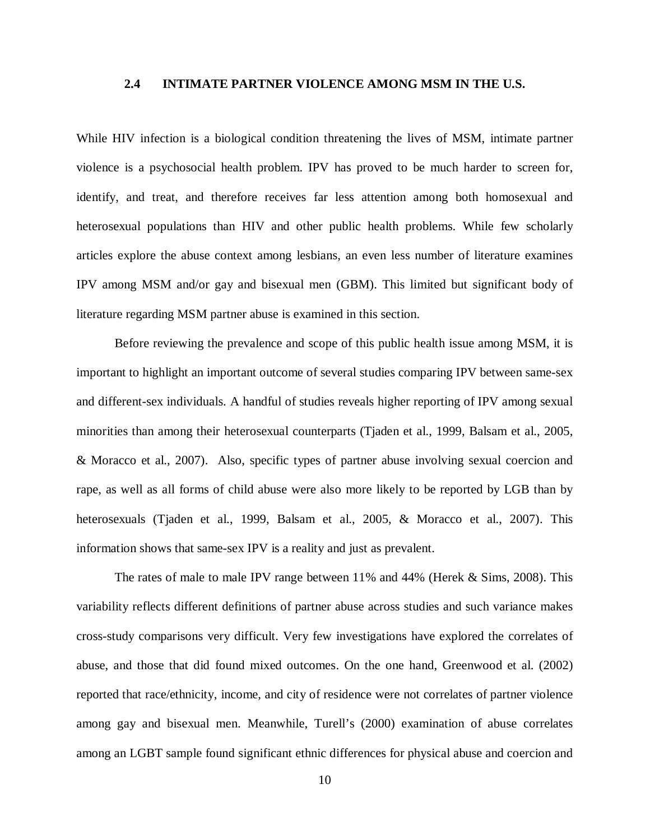#### **2.4 INTIMATE PARTNER VIOLENCE AMONG MSM IN THE U.S.**

<span id="page-18-0"></span>While HIV infection is a biological condition threatening the lives of MSM, intimate partner violence is a psychosocial health problem. IPV has proved to be much harder to screen for, identify, and treat, and therefore receives far less attention among both homosexual and heterosexual populations than HIV and other public health problems. While few scholarly articles explore the abuse context among lesbians, an even less number of literature examines IPV among MSM and/or gay and bisexual men (GBM). This limited but significant body of literature regarding MSM partner abuse is examined in this section.

Before reviewing the prevalence and scope of this public health issue among MSM, it is important to highlight an important outcome of several studies comparing IPV between same-sex and different-sex individuals. A handful of studies reveals higher reporting of IPV among sexual minorities than among their heterosexual counterparts (Tjaden et al., 1999, Balsam et al., 2005, & Moracco et al., 2007). Also, specific types of partner abuse involving sexual coercion and rape, as well as all forms of child abuse were also more likely to be reported by LGB than by heterosexuals (Tjaden et al., 1999, Balsam et al., 2005, & Moracco et al., 2007). This information shows that same-sex IPV is a reality and just as prevalent.

The rates of male to male IPV range between 11% and 44% (Herek & Sims, 2008). This variability reflects different definitions of partner abuse across studies and such variance makes cross-study comparisons very difficult. Very few investigations have explored the correlates of abuse, and those that did found mixed outcomes. On the one hand, Greenwood et al. (2002) reported that race/ethnicity, income, and city of residence were not correlates of partner violence among gay and bisexual men. Meanwhile, Turell's (2000) examination of abuse correlates among an LGBT sample found significant ethnic differences for physical abuse and coercion and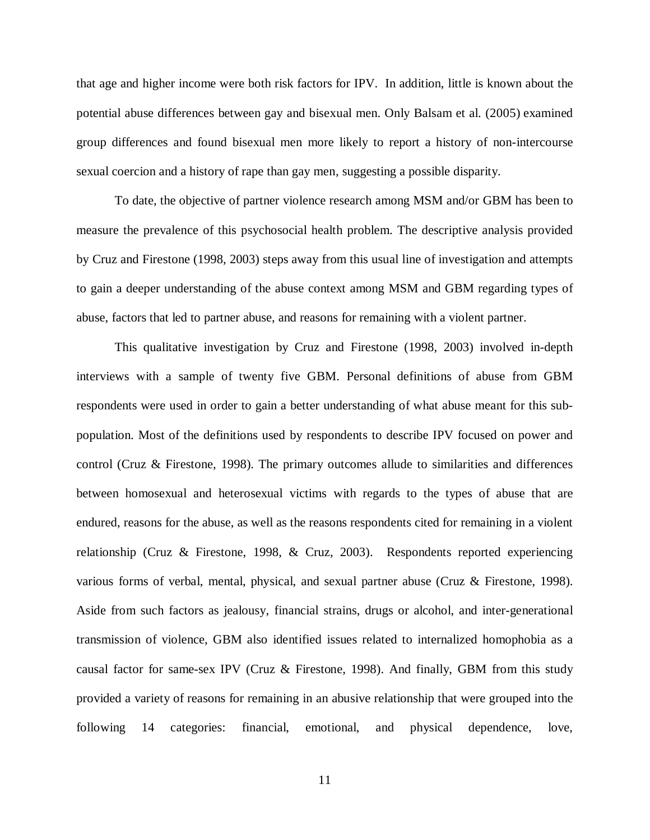that age and higher income were both risk factors for IPV. In addition, little is known about the potential abuse differences between gay and bisexual men. Only Balsam et al. (2005) examined group differences and found bisexual men more likely to report a history of non-intercourse sexual coercion and a history of rape than gay men, suggesting a possible disparity.

To date, the objective of partner violence research among MSM and/or GBM has been to measure the prevalence of this psychosocial health problem. The descriptive analysis provided by Cruz and Firestone (1998, 2003) steps away from this usual line of investigation and attempts to gain a deeper understanding of the abuse context among MSM and GBM regarding types of abuse, factors that led to partner abuse, and reasons for remaining with a violent partner.

This qualitative investigation by Cruz and Firestone (1998, 2003) involved in-depth interviews with a sample of twenty five GBM. Personal definitions of abuse from GBM respondents were used in order to gain a better understanding of what abuse meant for this subpopulation. Most of the definitions used by respondents to describe IPV focused on power and control (Cruz & Firestone, 1998). The primary outcomes allude to similarities and differences between homosexual and heterosexual victims with regards to the types of abuse that are endured, reasons for the abuse, as well as the reasons respondents cited for remaining in a violent relationship (Cruz & Firestone, 1998, & Cruz, 2003). Respondents reported experiencing various forms of verbal, mental, physical, and sexual partner abuse (Cruz & Firestone, 1998). Aside from such factors as jealousy, financial strains, drugs or alcohol, and inter-generational transmission of violence, GBM also identified issues related to internalized homophobia as a causal factor for same-sex IPV (Cruz & Firestone, 1998). And finally, GBM from this study provided a variety of reasons for remaining in an abusive relationship that were grouped into the following 14 categories: financial, emotional, and physical dependence, love,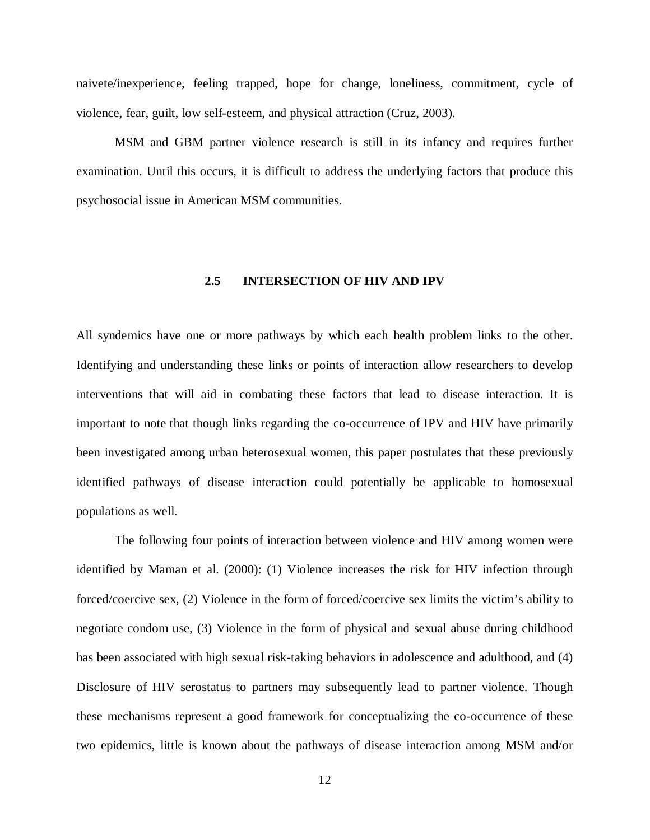naivete/inexperience, feeling trapped, hope for change, loneliness, commitment, cycle of violence, fear, guilt, low self-esteem, and physical attraction (Cruz, 2003).

<span id="page-20-0"></span>MSM and GBM partner violence research is still in its infancy and requires further examination. Until this occurs, it is difficult to address the underlying factors that produce this psychosocial issue in American MSM communities.

### **2.5 INTERSECTION OF HIV AND IPV**

All syndemics have one or more pathways by which each health problem links to the other. Identifying and understanding these links or points of interaction allow researchers to develop interventions that will aid in combating these factors that lead to disease interaction. It is important to note that though links regarding the co-occurrence of IPV and HIV have primarily been investigated among urban heterosexual women, this paper postulates that these previously identified pathways of disease interaction could potentially be applicable to homosexual populations as well.

The following four points of interaction between violence and HIV among women were identified by Maman et al. (2000): (1) Violence increases the risk for HIV infection through forced/coercive sex, (2) Violence in the form of forced/coercive sex limits the victim's ability to negotiate condom use, (3) Violence in the form of physical and sexual abuse during childhood has been associated with high sexual risk-taking behaviors in adolescence and adulthood, and (4) Disclosure of HIV serostatus to partners may subsequently lead to partner violence. Though these mechanisms represent a good framework for conceptualizing the co-occurrence of these two epidemics, little is known about the pathways of disease interaction among MSM and/or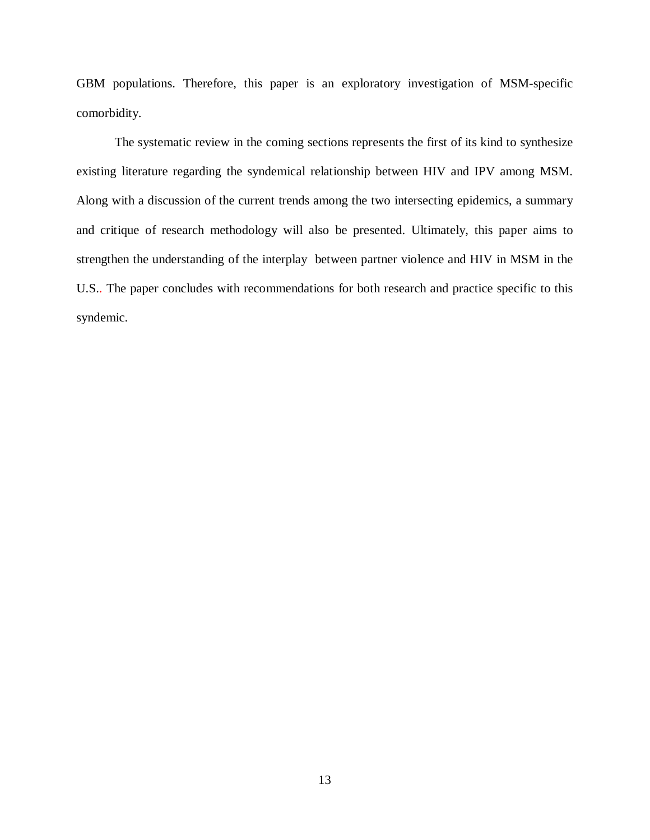GBM populations. Therefore, this paper is an exploratory investigation of MSM-specific comorbidity.

The systematic review in the coming sections represents the first of its kind to synthesize existing literature regarding the syndemical relationship between HIV and IPV among MSM. Along with a discussion of the current trends among the two intersecting epidemics, a summary and critique of research methodology will also be presented. Ultimately, this paper aims to strengthen the understanding of the interplay between partner violence and HIV in MSM in the U.S.. The paper concludes with recommendations for both research and practice specific to this syndemic.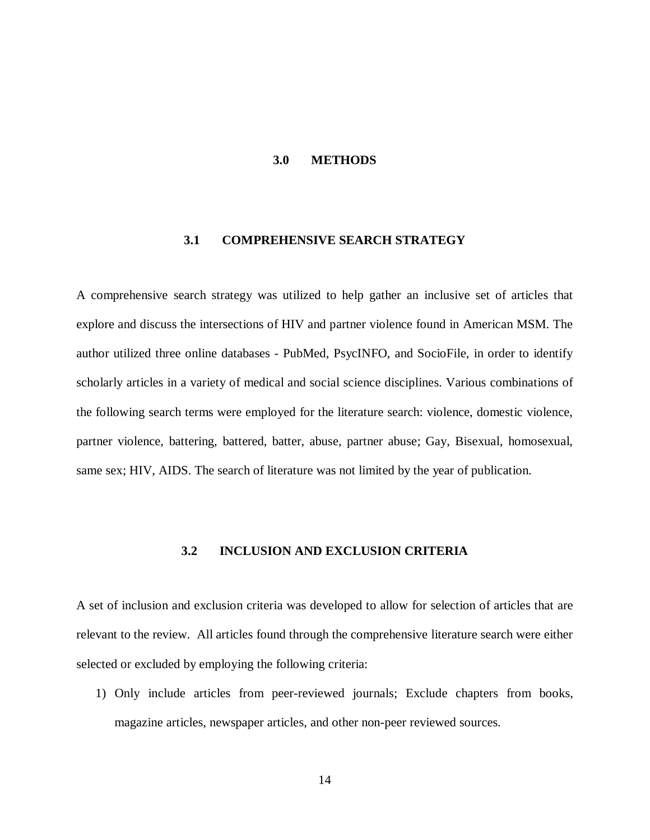#### **3.0 METHODS**

#### <span id="page-22-0"></span>**3.1 COMPREHENSIVE SEARCH STRATEGY**

<span id="page-22-1"></span>A comprehensive search strategy was utilized to help gather an inclusive set of articles that explore and discuss the intersections of HIV and partner violence found in American MSM. The author utilized three online databases - PubMed, PsycINFO, and SocioFile, in order to identify scholarly articles in a variety of medical and social science disciplines. Various combinations of the following search terms were employed for the literature search: violence, domestic violence, partner violence, battering, battered, batter, abuse, partner abuse; Gay, Bisexual, homosexual, same sex; HIV, AIDS. The search of literature was not limited by the year of publication.

### **3.2 INCLUSION AND EXCLUSION CRITERIA**

<span id="page-22-2"></span>A set of inclusion and exclusion criteria was developed to allow for selection of articles that are relevant to the review. All articles found through the comprehensive literature search were either selected or excluded by employing the following criteria:

1) Only include articles from peer-reviewed journals; Exclude chapters from books, magazine articles, newspaper articles, and other non-peer reviewed sources.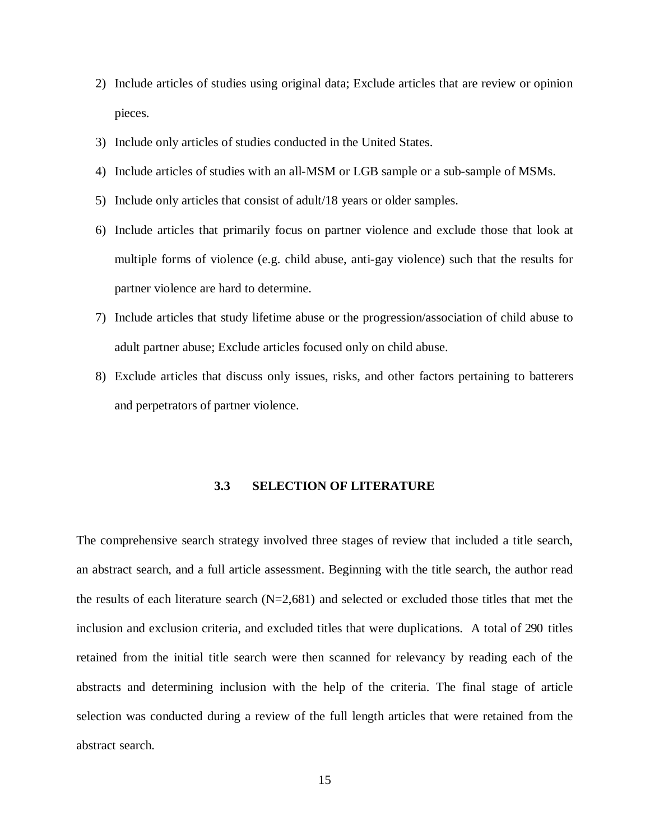- 2) Include articles of studies using original data; Exclude articles that are review or opinion pieces.
- 3) Include only articles of studies conducted in the United States.
- 4) Include articles of studies with an all-MSM or LGB sample or a sub-sample of MSMs.
- 5) Include only articles that consist of adult/18 years or older samples.
- 6) Include articles that primarily focus on partner violence and exclude those that look at multiple forms of violence (e.g. child abuse, anti-gay violence) such that the results for partner violence are hard to determine.
- 7) Include articles that study lifetime abuse or the progression/association of child abuse to adult partner abuse; Exclude articles focused only on child abuse.
- <span id="page-23-0"></span>8) Exclude articles that discuss only issues, risks, and other factors pertaining to batterers and perpetrators of partner violence.

#### **3.3 SELECTION OF LITERATURE**

The comprehensive search strategy involved three stages of review that included a title search, an abstract search, and a full article assessment. Beginning with the title search, the author read the results of each literature search  $(N=2,681)$  and selected or excluded those titles that met the inclusion and exclusion criteria, and excluded titles that were duplications. A total of 290 titles retained from the initial title search were then scanned for relevancy by reading each of the abstracts and determining inclusion with the help of the criteria. The final stage of article selection was conducted during a review of the full length articles that were retained from the abstract search.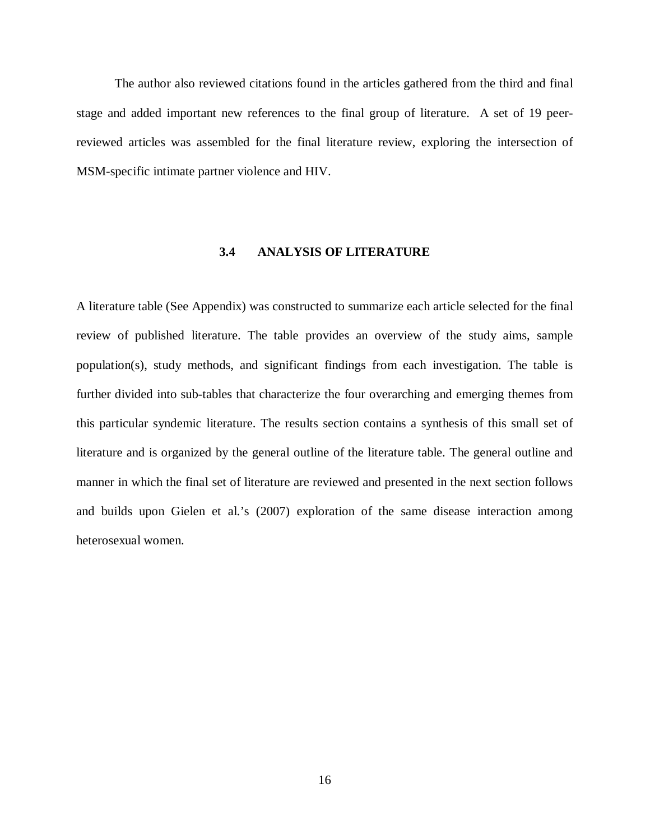The author also reviewed citations found in the articles gathered from the third and final stage and added important new references to the final group of literature. A set of 19 peerreviewed articles was assembled for the final literature review, exploring the intersection of MSM-specific intimate partner violence and HIV.

### **3.4 ANALYSIS OF LITERATURE**

<span id="page-24-0"></span>A literature table (See Appendix) was constructed to summarize each article selected for the final review of published literature. The table provides an overview of the study aims, sample population(s), study methods, and significant findings from each investigation. The table is further divided into sub-tables that characterize the four overarching and emerging themes from this particular syndemic literature. The results section contains a synthesis of this small set of literature and is organized by the general outline of the literature table. The general outline and manner in which the final set of literature are reviewed and presented in the next section follows and builds upon Gielen et al.'s (2007) exploration of the same disease interaction among heterosexual women.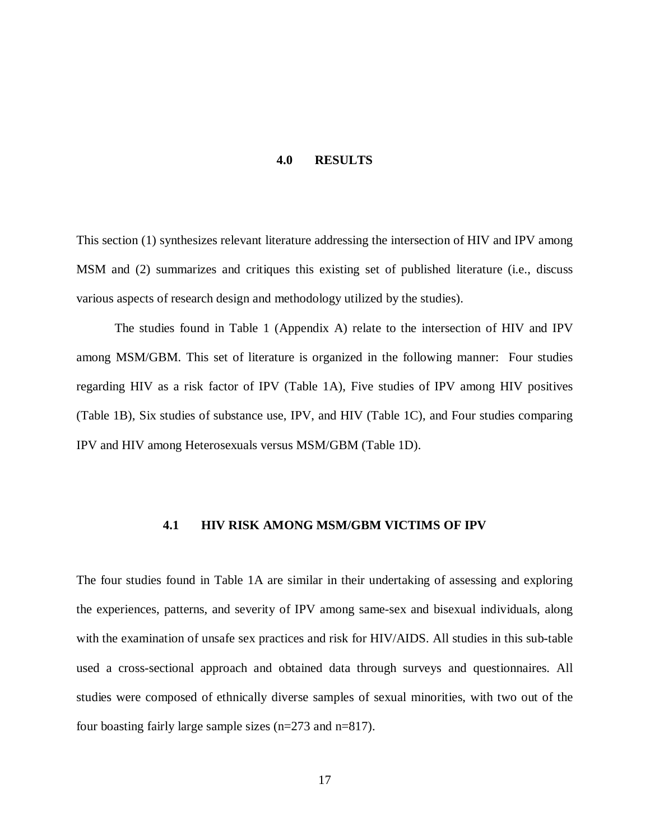#### **4.0 RESULTS**

<span id="page-25-0"></span>This section (1) synthesizes relevant literature addressing the intersection of HIV and IPV among MSM and (2) summarizes and critiques this existing set of published literature (i.e., discuss various aspects of research design and methodology utilized by the studies).

The studies found in Table 1 (Appendix A) relate to the intersection of HIV and IPV among MSM/GBM. This set of literature is organized in the following manner: Four studies regarding HIV as a risk factor of IPV (Table 1A), Five studies of IPV among HIV positives (Table 1B), Six studies of substance use, IPV, and HIV (Table 1C), and Four studies comparing IPV and HIV among Heterosexuals versus MSM/GBM (Table 1D).

### <span id="page-25-1"></span>**4.1 HIV RISK AMONG MSM/GBM VICTIMS OF IPV**

The four studies found in Table 1A are similar in their undertaking of assessing and exploring the experiences, patterns, and severity of IPV among same-sex and bisexual individuals, along with the examination of unsafe sex practices and risk for HIV/AIDS. All studies in this sub-table used a cross-sectional approach and obtained data through surveys and questionnaires. All studies were composed of ethnically diverse samples of sexual minorities, with two out of the four boasting fairly large sample sizes (n=273 and n=817).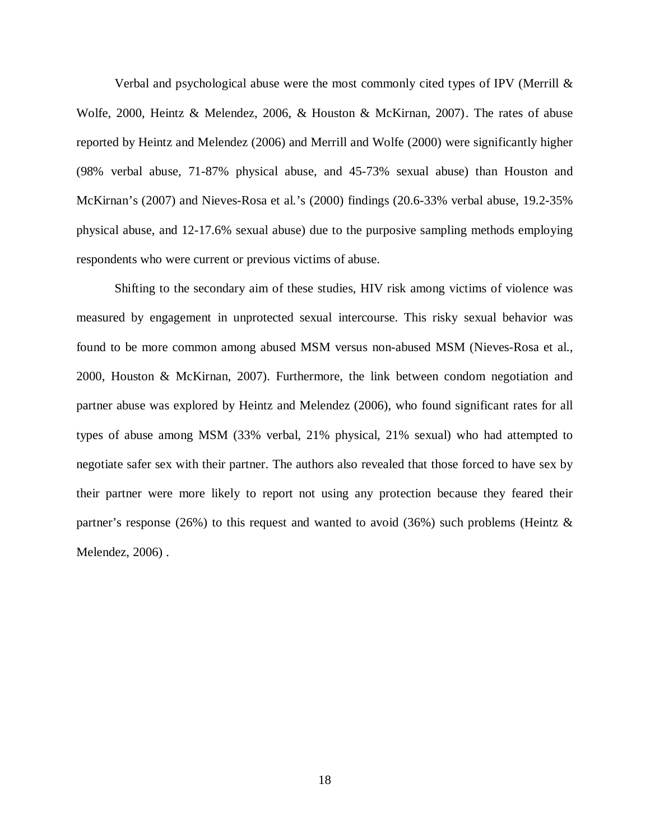Verbal and psychological abuse were the most commonly cited types of IPV (Merrill  $\&$ Wolfe, 2000, Heintz & Melendez, 2006, & Houston & McKirnan, 2007). The rates of abuse reported by Heintz and Melendez (2006) and Merrill and Wolfe (2000) were significantly higher (98% verbal abuse, 71-87% physical abuse, and 45-73% sexual abuse) than Houston and McKirnan's (2007) and Nieves-Rosa et al.'s (2000) findings (20.6-33% verbal abuse, 19.2-35% physical abuse, and 12-17.6% sexual abuse) due to the purposive sampling methods employing respondents who were current or previous victims of abuse.

Shifting to the secondary aim of these studies, HIV risk among victims of violence was measured by engagement in unprotected sexual intercourse. This risky sexual behavior was found to be more common among abused MSM versus non-abused MSM (Nieves-Rosa et al., 2000, Houston & McKirnan, 2007). Furthermore, the link between condom negotiation and partner abuse was explored by Heintz and Melendez (2006), who found significant rates for all types of abuse among MSM (33% verbal, 21% physical, 21% sexual) who had attempted to negotiate safer sex with their partner. The authors also revealed that those forced to have sex by their partner were more likely to report not using any protection because they feared their partner's response (26%) to this request and wanted to avoid (36%) such problems (Heintz  $\&$ Melendez, 2006) .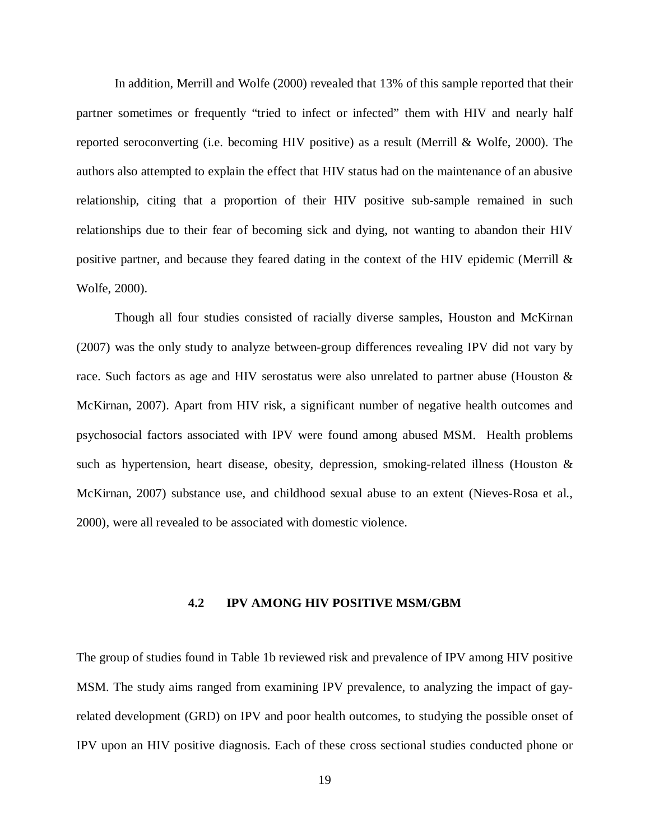In addition, Merrill and Wolfe (2000) revealed that 13% of this sample reported that their partner sometimes or frequently "tried to infect or infected" them with HIV and nearly half reported seroconverting (i.e. becoming HIV positive) as a result (Merrill & Wolfe, 2000). The authors also attempted to explain the effect that HIV status had on the maintenance of an abusive relationship, citing that a proportion of their HIV positive sub-sample remained in such relationships due to their fear of becoming sick and dying, not wanting to abandon their HIV positive partner, and because they feared dating in the context of the HIV epidemic (Merrill & Wolfe, 2000).

Though all four studies consisted of racially diverse samples, Houston and McKirnan (2007) was the only study to analyze between-group differences revealing IPV did not vary by race. Such factors as age and HIV serostatus were also unrelated to partner abuse (Houston & McKirnan, 2007). Apart from HIV risk, a significant number of negative health outcomes and psychosocial factors associated with IPV were found among abused MSM. Health problems such as hypertension, heart disease, obesity, depression, smoking-related illness (Houston & McKirnan, 2007) substance use, and childhood sexual abuse to an extent (Nieves-Rosa et al., 2000), were all revealed to be associated with domestic violence.

### **4.2 IPV AMONG HIV POSITIVE MSM/GBM**

<span id="page-27-0"></span>The group of studies found in Table 1b reviewed risk and prevalence of IPV among HIV positive MSM. The study aims ranged from examining IPV prevalence, to analyzing the impact of gayrelated development (GRD) on IPV and poor health outcomes, to studying the possible onset of IPV upon an HIV positive diagnosis. Each of these cross sectional studies conducted phone or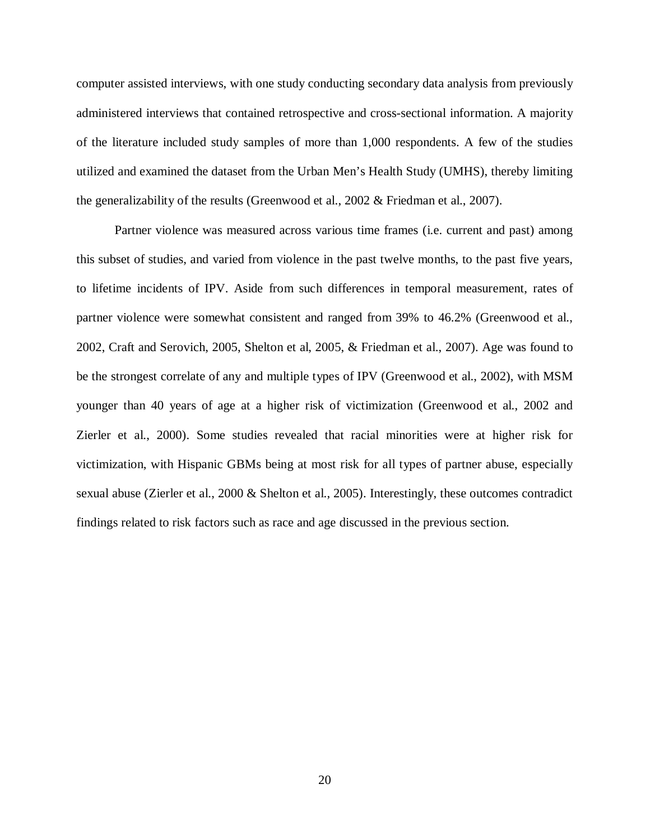computer assisted interviews, with one study conducting secondary data analysis from previously administered interviews that contained retrospective and cross-sectional information. A majority of the literature included study samples of more than 1,000 respondents. A few of the studies utilized and examined the dataset from the Urban Men's Health Study (UMHS), thereby limiting the generalizability of the results (Greenwood et al., 2002 & Friedman et al., 2007).

Partner violence was measured across various time frames (i.e. current and past) among this subset of studies, and varied from violence in the past twelve months, to the past five years, to lifetime incidents of IPV. Aside from such differences in temporal measurement, rates of partner violence were somewhat consistent and ranged from 39% to 46.2% (Greenwood et al., 2002, Craft and Serovich, 2005, Shelton et al, 2005, & Friedman et al., 2007). Age was found to be the strongest correlate of any and multiple types of IPV (Greenwood et al., 2002), with MSM younger than 40 years of age at a higher risk of victimization (Greenwood et al., 2002 and Zierler et al., 2000). Some studies revealed that racial minorities were at higher risk for victimization, with Hispanic GBMs being at most risk for all types of partner abuse, especially sexual abuse (Zierler et al., 2000 & Shelton et al., 2005). Interestingly, these outcomes contradict findings related to risk factors such as race and age discussed in the previous section.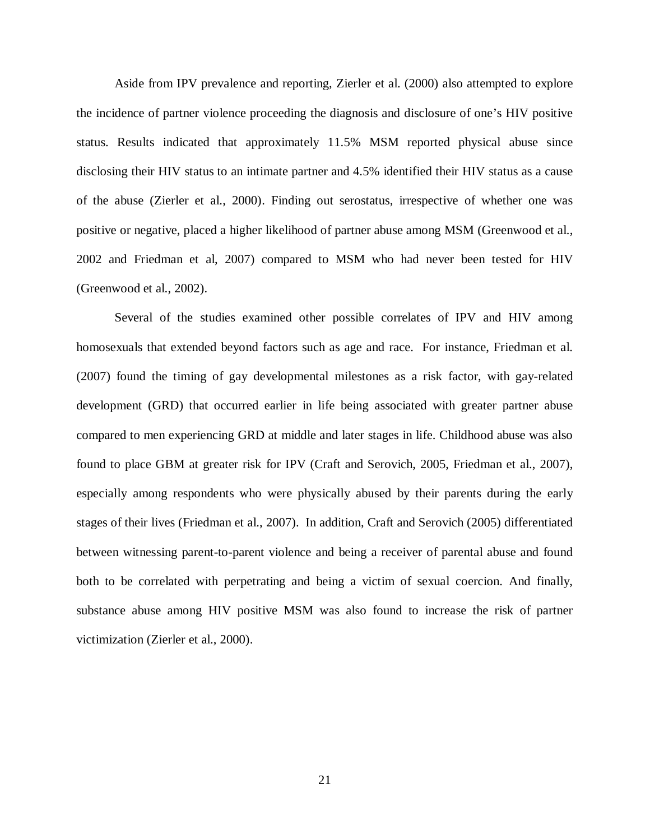Aside from IPV prevalence and reporting, Zierler et al. (2000) also attempted to explore the incidence of partner violence proceeding the diagnosis and disclosure of one's HIV positive status. Results indicated that approximately 11.5% MSM reported physical abuse since disclosing their HIV status to an intimate partner and 4.5% identified their HIV status as a cause of the abuse (Zierler et al., 2000). Finding out serostatus, irrespective of whether one was positive or negative, placed a higher likelihood of partner abuse among MSM (Greenwood et al., 2002 and Friedman et al, 2007) compared to MSM who had never been tested for HIV (Greenwood et al., 2002).

Several of the studies examined other possible correlates of IPV and HIV among homosexuals that extended beyond factors such as age and race. For instance, Friedman et al. (2007) found the timing of gay developmental milestones as a risk factor, with gay-related development (GRD) that occurred earlier in life being associated with greater partner abuse compared to men experiencing GRD at middle and later stages in life. Childhood abuse was also found to place GBM at greater risk for IPV (Craft and Serovich, 2005, Friedman et al., 2007), especially among respondents who were physically abused by their parents during the early stages of their lives (Friedman et al., 2007). In addition, Craft and Serovich (2005) differentiated between witnessing parent-to-parent violence and being a receiver of parental abuse and found both to be correlated with perpetrating and being a victim of sexual coercion. And finally, substance abuse among HIV positive MSM was also found to increase the risk of partner victimization (Zierler et al., 2000).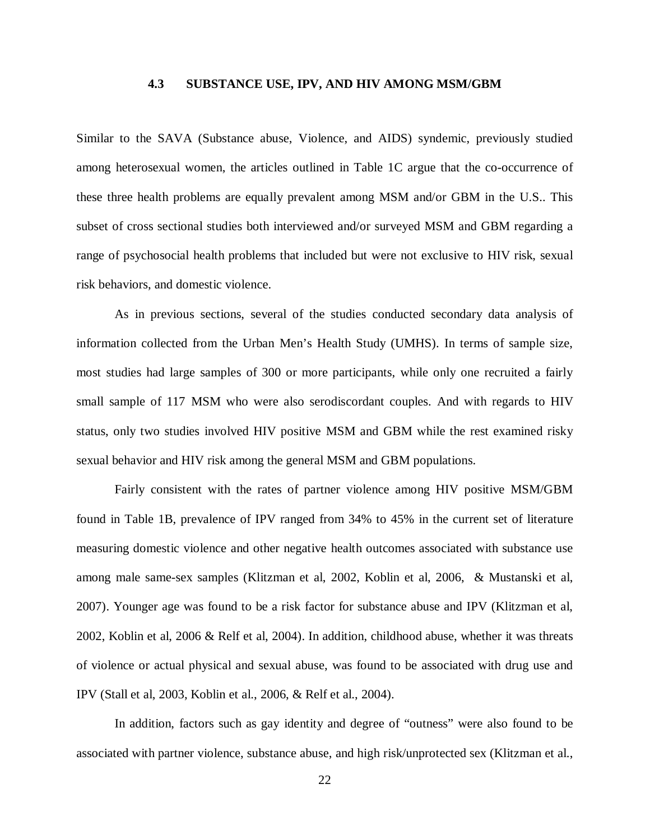### **4.3 SUBSTANCE USE, IPV, AND HIV AMONG MSM/GBM**

<span id="page-30-0"></span>Similar to the SAVA (Substance abuse, Violence, and AIDS) syndemic, previously studied among heterosexual women, the articles outlined in Table 1C argue that the co-occurrence of these three health problems are equally prevalent among MSM and/or GBM in the U.S.. This subset of cross sectional studies both interviewed and/or surveyed MSM and GBM regarding a range of psychosocial health problems that included but were not exclusive to HIV risk, sexual risk behaviors, and domestic violence.

As in previous sections, several of the studies conducted secondary data analysis of information collected from the Urban Men's Health Study (UMHS). In terms of sample size, most studies had large samples of 300 or more participants, while only one recruited a fairly small sample of 117 MSM who were also serodiscordant couples. And with regards to HIV status, only two studies involved HIV positive MSM and GBM while the rest examined risky sexual behavior and HIV risk among the general MSM and GBM populations.

Fairly consistent with the rates of partner violence among HIV positive MSM/GBM found in Table 1B, prevalence of IPV ranged from 34% to 45% in the current set of literature measuring domestic violence and other negative health outcomes associated with substance use among male same-sex samples (Klitzman et al, 2002, Koblin et al, 2006, & Mustanski et al, 2007). Younger age was found to be a risk factor for substance abuse and IPV (Klitzman et al, 2002, Koblin et al, 2006 & Relf et al, 2004). In addition, childhood abuse, whether it was threats of violence or actual physical and sexual abuse, was found to be associated with drug use and IPV (Stall et al, 2003, Koblin et al., 2006, & Relf et al., 2004).

In addition, factors such as gay identity and degree of "outness" were also found to be associated with partner violence, substance abuse, and high risk/unprotected sex (Klitzman et al.,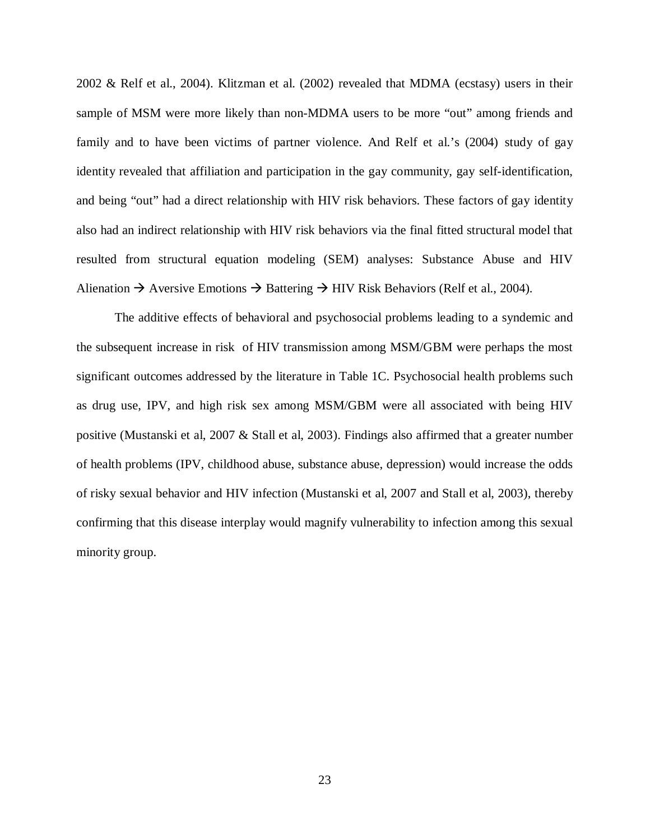2002 & Relf et al., 2004). Klitzman et al. (2002) revealed that MDMA (ecstasy) users in their sample of MSM were more likely than non-MDMA users to be more "out" among friends and family and to have been victims of partner violence. And Relf et al.'s (2004) study of gay identity revealed that affiliation and participation in the gay community, gay self-identification, and being "out" had a direct relationship with HIV risk behaviors. These factors of gay identity also had an indirect relationship with HIV risk behaviors via the final fitted structural model that resulted from structural equation modeling (SEM) analyses: Substance Abuse and HIV Alienation  $\rightarrow$  Aversive Emotions  $\rightarrow$  Battering  $\rightarrow$  HIV Risk Behaviors (Relf et al., 2004).

The additive effects of behavioral and psychosocial problems leading to a syndemic and the subsequent increase in risk of HIV transmission among MSM/GBM were perhaps the most significant outcomes addressed by the literature in Table 1C. Psychosocial health problems such as drug use, IPV, and high risk sex among MSM/GBM were all associated with being HIV positive (Mustanski et al, 2007 & Stall et al, 2003). Findings also affirmed that a greater number of health problems (IPV, childhood abuse, substance abuse, depression) would increase the odds of risky sexual behavior and HIV infection (Mustanski et al, 2007 and Stall et al, 2003), thereby confirming that this disease interplay would magnify vulnerability to infection among this sexual minority group.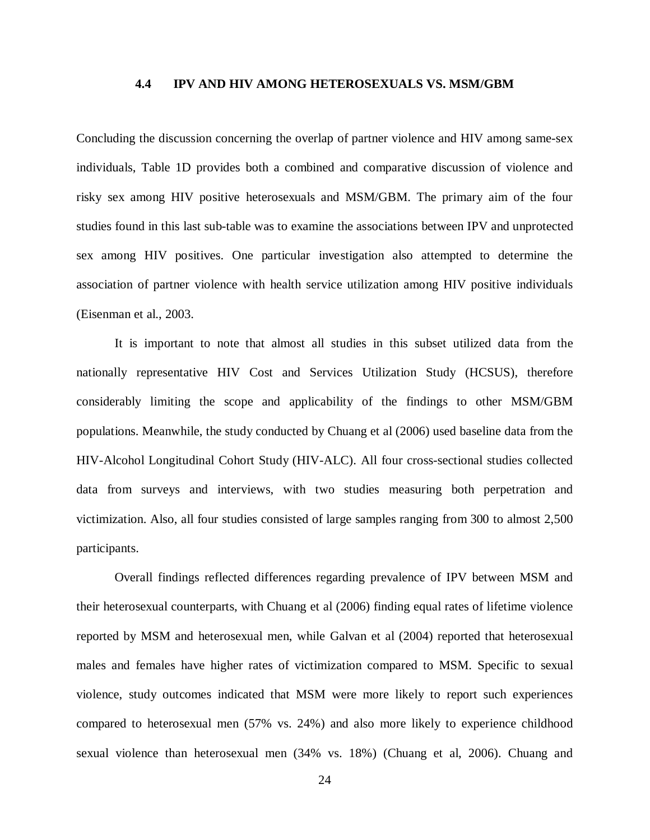#### **4.4 IPV AND HIV AMONG HETEROSEXUALS VS. MSM/GBM**

<span id="page-32-0"></span>Concluding the discussion concerning the overlap of partner violence and HIV among same-sex individuals, Table 1D provides both a combined and comparative discussion of violence and risky sex among HIV positive heterosexuals and MSM/GBM. The primary aim of the four studies found in this last sub-table was to examine the associations between IPV and unprotected sex among HIV positives. One particular investigation also attempted to determine the association of partner violence with health service utilization among HIV positive individuals (Eisenman et al., 2003.

It is important to note that almost all studies in this subset utilized data from the nationally representative HIV Cost and Services Utilization Study (HCSUS), therefore considerably limiting the scope and applicability of the findings to other MSM/GBM populations. Meanwhile, the study conducted by Chuang et al (2006) used baseline data from the HIV-Alcohol Longitudinal Cohort Study (HIV-ALC). All four cross-sectional studies collected data from surveys and interviews, with two studies measuring both perpetration and victimization. Also, all four studies consisted of large samples ranging from 300 to almost 2,500 participants.

Overall findings reflected differences regarding prevalence of IPV between MSM and their heterosexual counterparts, with Chuang et al (2006) finding equal rates of lifetime violence reported by MSM and heterosexual men, while Galvan et al (2004) reported that heterosexual males and females have higher rates of victimization compared to MSM. Specific to sexual violence, study outcomes indicated that MSM were more likely to report such experiences compared to heterosexual men (57% vs. 24%) and also more likely to experience childhood sexual violence than heterosexual men (34% vs. 18%) (Chuang et al, 2006). Chuang and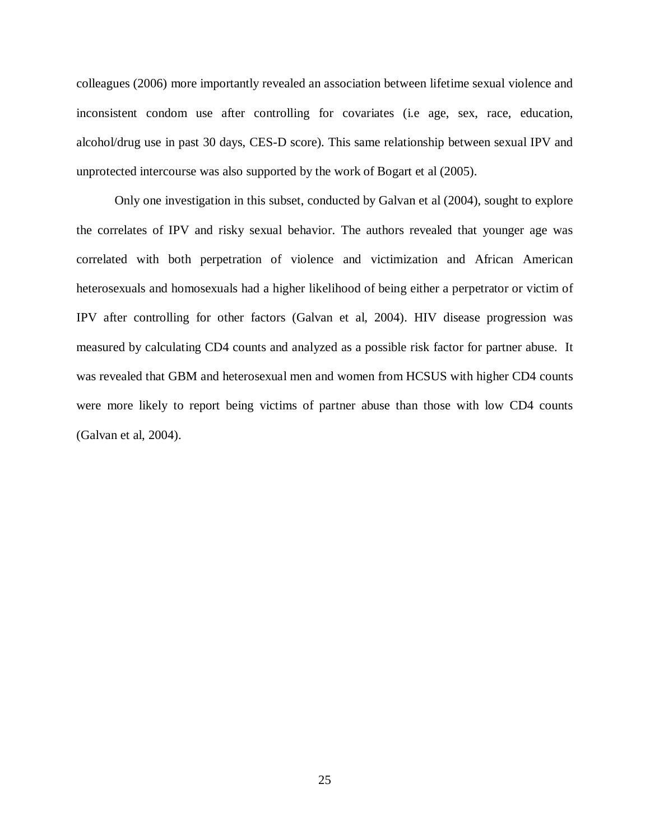colleagues (2006) more importantly revealed an association between lifetime sexual violence and inconsistent condom use after controlling for covariates (i.e age, sex, race, education, alcohol/drug use in past 30 days, CES-D score). This same relationship between sexual IPV and unprotected intercourse was also supported by the work of Bogart et al (2005).

Only one investigation in this subset, conducted by Galvan et al (2004), sought to explore the correlates of IPV and risky sexual behavior. The authors revealed that younger age was correlated with both perpetration of violence and victimization and African American heterosexuals and homosexuals had a higher likelihood of being either a perpetrator or victim of IPV after controlling for other factors (Galvan et al, 2004). HIV disease progression was measured by calculating CD4 counts and analyzed as a possible risk factor for partner abuse. It was revealed that GBM and heterosexual men and women from HCSUS with higher CD4 counts were more likely to report being victims of partner abuse than those with low CD4 counts (Galvan et al, 2004).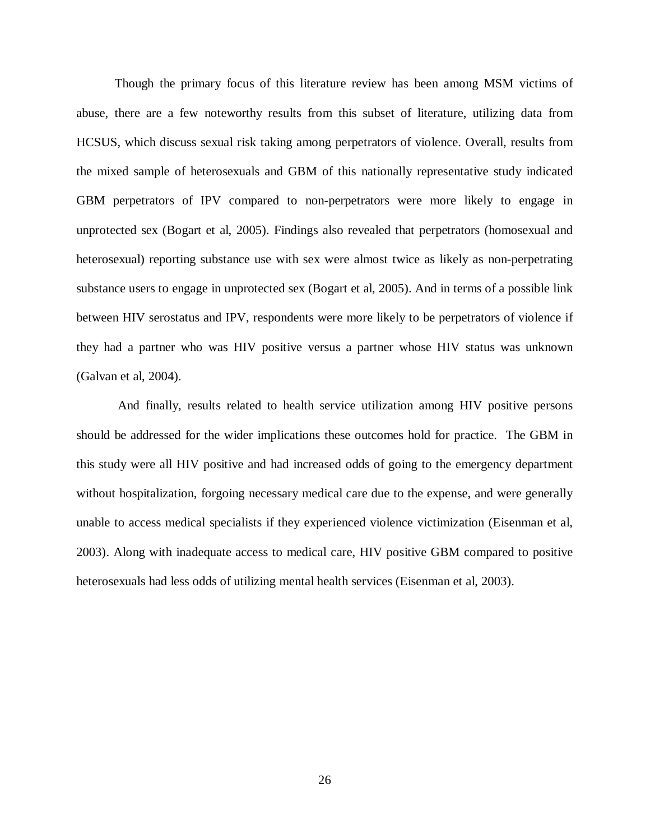Though the primary focus of this literature review has been among MSM victims of abuse, there are a few noteworthy results from this subset of literature, utilizing data from HCSUS, which discuss sexual risk taking among perpetrators of violence. Overall, results from the mixed sample of heterosexuals and GBM of this nationally representative study indicated GBM perpetrators of IPV compared to non-perpetrators were more likely to engage in unprotected sex (Bogart et al, 2005). Findings also revealed that perpetrators (homosexual and heterosexual) reporting substance use with sex were almost twice as likely as non-perpetrating substance users to engage in unprotected sex (Bogart et al, 2005). And in terms of a possible link between HIV serostatus and IPV, respondents were more likely to be perpetrators of violence if they had a partner who was HIV positive versus a partner whose HIV status was unknown (Galvan et al, 2004).

And finally, results related to health service utilization among HIV positive persons should be addressed for the wider implications these outcomes hold for practice. The GBM in this study were all HIV positive and had increased odds of going to the emergency department without hospitalization, forgoing necessary medical care due to the expense, and were generally unable to access medical specialists if they experienced violence victimization (Eisenman et al, 2003). Along with inadequate access to medical care, HIV positive GBM compared to positive heterosexuals had less odds of utilizing mental health services (Eisenman et al, 2003).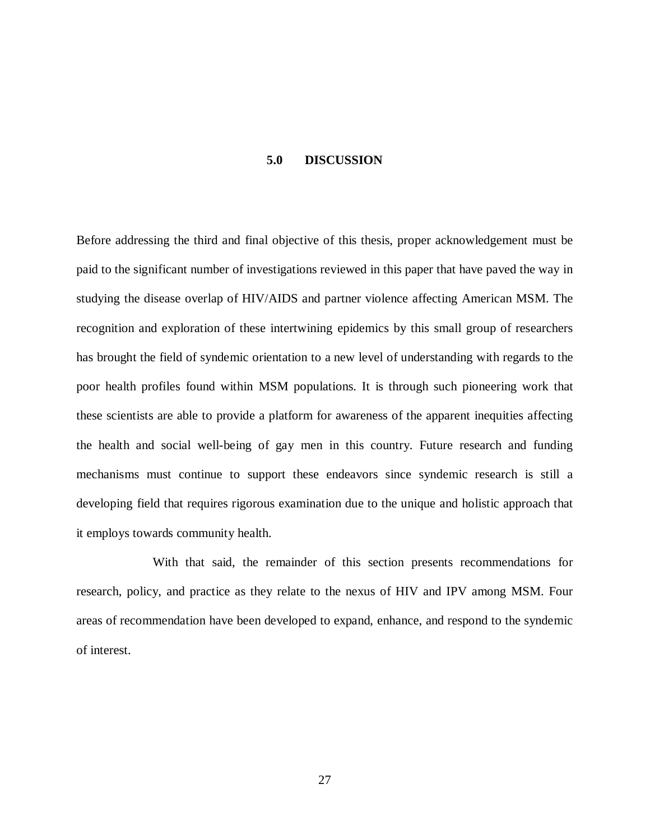#### **5.0 DISCUSSION**

<span id="page-35-0"></span>Before addressing the third and final objective of this thesis, proper acknowledgement must be paid to the significant number of investigations reviewed in this paper that have paved the way in studying the disease overlap of HIV/AIDS and partner violence affecting American MSM. The recognition and exploration of these intertwining epidemics by this small group of researchers has brought the field of syndemic orientation to a new level of understanding with regards to the poor health profiles found within MSM populations. It is through such pioneering work that these scientists are able to provide a platform for awareness of the apparent inequities affecting the health and social well-being of gay men in this country. Future research and funding mechanisms must continue to support these endeavors since syndemic research is still a developing field that requires rigorous examination due to the unique and holistic approach that it employs towards community health.

With that said, the remainder of this section presents recommendations for research, policy, and practice as they relate to the nexus of HIV and IPV among MSM. Four areas of recommendation have been developed to expand, enhance, and respond to the syndemic of interest.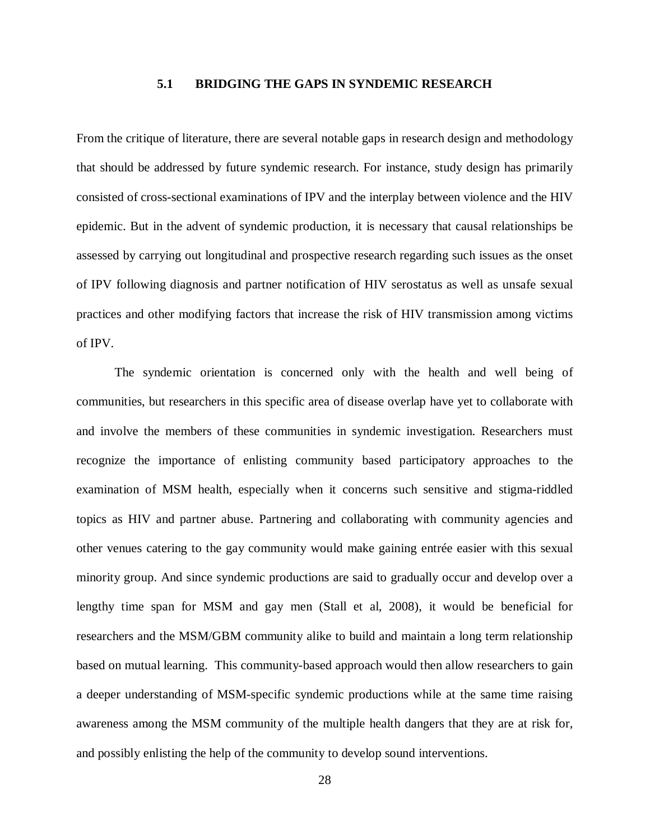### **5.1 BRIDGING THE GAPS IN SYNDEMIC RESEARCH**

<span id="page-36-0"></span>From the critique of literature, there are several notable gaps in research design and methodology that should be addressed by future syndemic research. For instance, study design has primarily consisted of cross-sectional examinations of IPV and the interplay between violence and the HIV epidemic. But in the advent of syndemic production, it is necessary that causal relationships be assessed by carrying out longitudinal and prospective research regarding such issues as the onset of IPV following diagnosis and partner notification of HIV serostatus as well as unsafe sexual practices and other modifying factors that increase the risk of HIV transmission among victims of IPV.

The syndemic orientation is concerned only with the health and well being of communities, but researchers in this specific area of disease overlap have yet to collaborate with and involve the members of these communities in syndemic investigation. Researchers must recognize the importance of enlisting community based participatory approaches to the examination of MSM health, especially when it concerns such sensitive and stigma-riddled topics as HIV and partner abuse. Partnering and collaborating with community agencies and other venues catering to the gay community would make gaining entrée easier with this sexual minority group. And since syndemic productions are said to gradually occur and develop over a lengthy time span for MSM and gay men (Stall et al, 2008), it would be beneficial for researchers and the MSM/GBM community alike to build and maintain a long term relationship based on mutual learning. This community-based approach would then allow researchers to gain a deeper understanding of MSM-specific syndemic productions while at the same time raising awareness among the MSM community of the multiple health dangers that they are at risk for, and possibly enlisting the help of the community to develop sound interventions.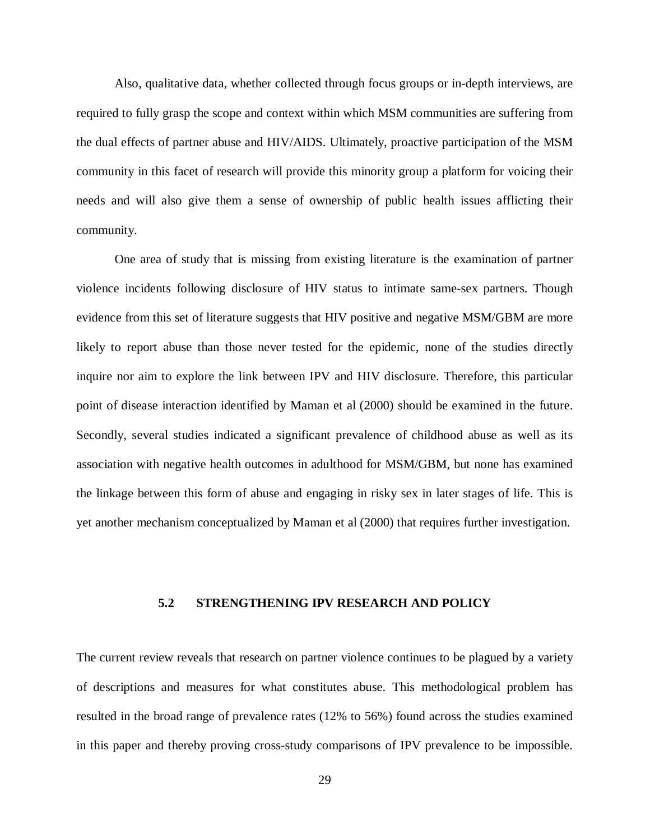Also, qualitative data, whether collected through focus groups or in-depth interviews, are required to fully grasp the scope and context within which MSM communities are suffering from the dual effects of partner abuse and HIV/AIDS. Ultimately, proactive participation of the MSM community in this facet of research will provide this minority group a platform for voicing their needs and will also give them a sense of ownership of public health issues afflicting their community.

One area of study that is missing from existing literature is the examination of partner violence incidents following disclosure of HIV status to intimate same-sex partners. Though evidence from this set of literature suggests that HIV positive and negative MSM/GBM are more likely to report abuse than those never tested for the epidemic, none of the studies directly inquire nor aim to explore the link between IPV and HIV disclosure. Therefore, this particular point of disease interaction identified by Maman et al (2000) should be examined in the future. Secondly, several studies indicated a significant prevalence of childhood abuse as well as its association with negative health outcomes in adulthood for MSM/GBM, but none has examined the linkage between this form of abuse and engaging in risky sex in later stages of life. This is yet another mechanism conceptualized by Maman et al (2000) that requires further investigation.

#### <span id="page-37-0"></span>**5.2 STRENGTHENING IPV RESEARCH AND POLICY**

The current review reveals that research on partner violence continues to be plagued by a variety of descriptions and measures for what constitutes abuse. This methodological problem has resulted in the broad range of prevalence rates (12% to 56%) found across the studies examined in this paper and thereby proving cross-study comparisons of IPV prevalence to be impossible.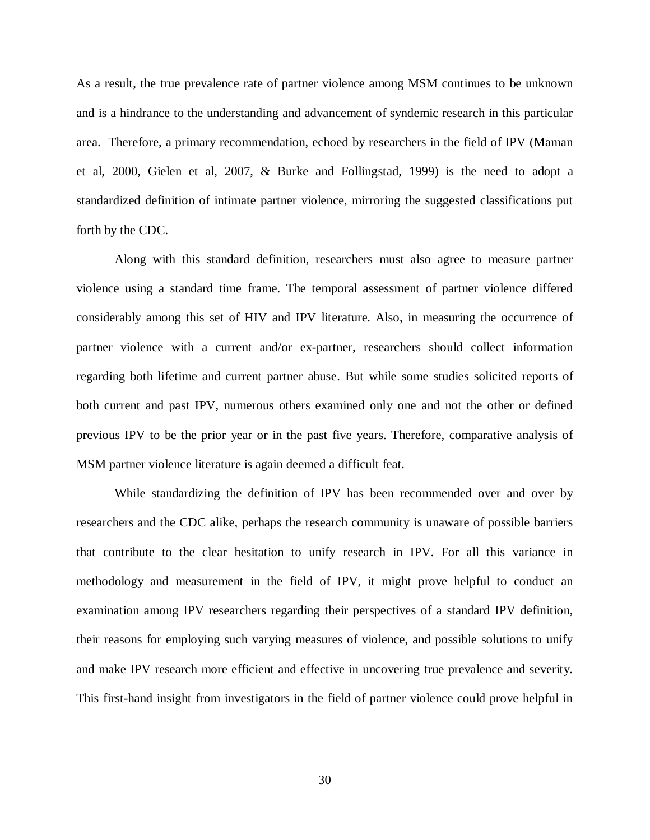As a result, the true prevalence rate of partner violence among MSM continues to be unknown and is a hindrance to the understanding and advancement of syndemic research in this particular area. Therefore, a primary recommendation, echoed by researchers in the field of IPV (Maman et al, 2000, Gielen et al, 2007, & Burke and Follingstad, 1999) is the need to adopt a standardized definition of intimate partner violence, mirroring the suggested classifications put forth by the CDC.

Along with this standard definition, researchers must also agree to measure partner violence using a standard time frame. The temporal assessment of partner violence differed considerably among this set of HIV and IPV literature. Also, in measuring the occurrence of partner violence with a current and/or ex-partner, researchers should collect information regarding both lifetime and current partner abuse. But while some studies solicited reports of both current and past IPV, numerous others examined only one and not the other or defined previous IPV to be the prior year or in the past five years. Therefore, comparative analysis of MSM partner violence literature is again deemed a difficult feat.

While standardizing the definition of IPV has been recommended over and over by researchers and the CDC alike, perhaps the research community is unaware of possible barriers that contribute to the clear hesitation to unify research in IPV. For all this variance in methodology and measurement in the field of IPV, it might prove helpful to conduct an examination among IPV researchers regarding their perspectives of a standard IPV definition, their reasons for employing such varying measures of violence, and possible solutions to unify and make IPV research more efficient and effective in uncovering true prevalence and severity. This first-hand insight from investigators in the field of partner violence could prove helpful in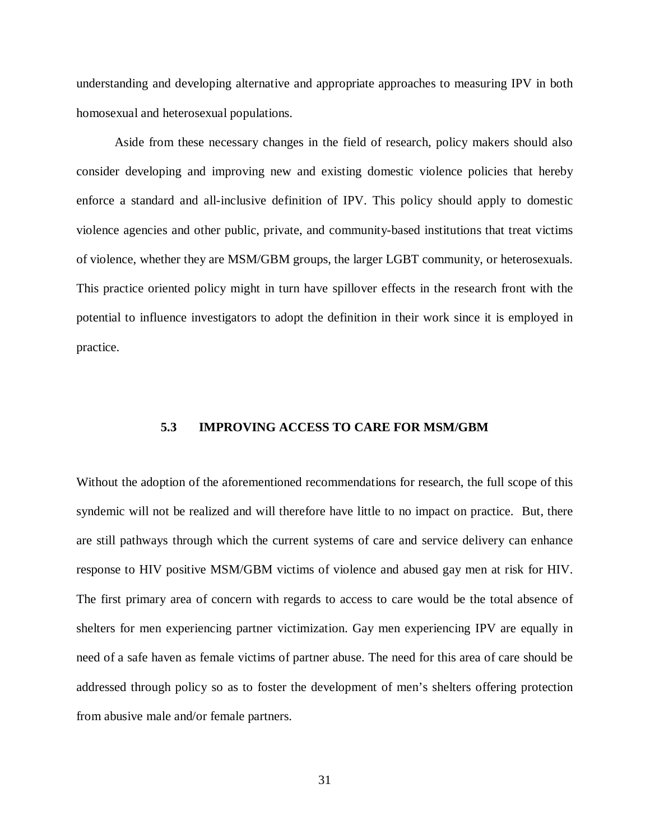understanding and developing alternative and appropriate approaches to measuring IPV in both homosexual and heterosexual populations.

Aside from these necessary changes in the field of research, policy makers should also consider developing and improving new and existing domestic violence policies that hereby enforce a standard and all-inclusive definition of IPV. This policy should apply to domestic violence agencies and other public, private, and community-based institutions that treat victims of violence, whether they are MSM/GBM groups, the larger LGBT community, or heterosexuals. This practice oriented policy might in turn have spillover effects in the research front with the potential to influence investigators to adopt the definition in their work since it is employed in practice.

### <span id="page-39-0"></span>**5.3 IMPROVING ACCESS TO CARE FOR MSM/GBM**

Without the adoption of the aforementioned recommendations for research, the full scope of this syndemic will not be realized and will therefore have little to no impact on practice. But, there are still pathways through which the current systems of care and service delivery can enhance response to HIV positive MSM/GBM victims of violence and abused gay men at risk for HIV. The first primary area of concern with regards to access to care would be the total absence of shelters for men experiencing partner victimization. Gay men experiencing IPV are equally in need of a safe haven as female victims of partner abuse. The need for this area of care should be addressed through policy so as to foster the development of men's shelters offering protection from abusive male and/or female partners.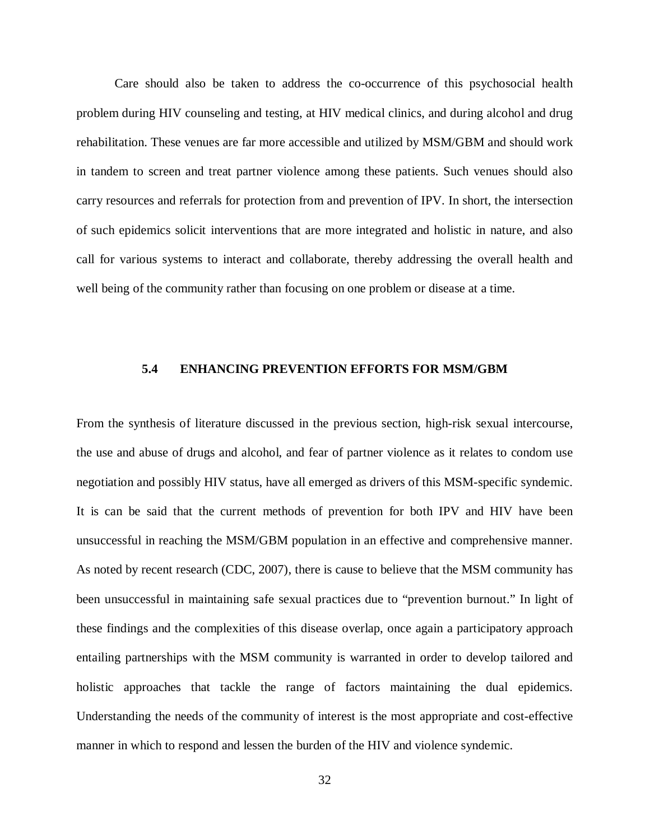Care should also be taken to address the co-occurrence of this psychosocial health problem during HIV counseling and testing, at HIV medical clinics, and during alcohol and drug rehabilitation. These venues are far more accessible and utilized by MSM/GBM and should work in tandem to screen and treat partner violence among these patients. Such venues should also carry resources and referrals for protection from and prevention of IPV. In short, the intersection of such epidemics solicit interventions that are more integrated and holistic in nature, and also call for various systems to interact and collaborate, thereby addressing the overall health and well being of the community rather than focusing on one problem or disease at a time.

### <span id="page-40-0"></span>**5.4 ENHANCING PREVENTION EFFORTS FOR MSM/GBM**

From the synthesis of literature discussed in the previous section, high-risk sexual intercourse, the use and abuse of drugs and alcohol, and fear of partner violence as it relates to condom use negotiation and possibly HIV status, have all emerged as drivers of this MSM-specific syndemic. It is can be said that the current methods of prevention for both IPV and HIV have been unsuccessful in reaching the MSM/GBM population in an effective and comprehensive manner. As noted by recent research (CDC, 2007), there is cause to believe that the MSM community has been unsuccessful in maintaining safe sexual practices due to "prevention burnout." In light of these findings and the complexities of this disease overlap, once again a participatory approach entailing partnerships with the MSM community is warranted in order to develop tailored and holistic approaches that tackle the range of factors maintaining the dual epidemics. Understanding the needs of the community of interest is the most appropriate and cost-effective manner in which to respond and lessen the burden of the HIV and violence syndemic.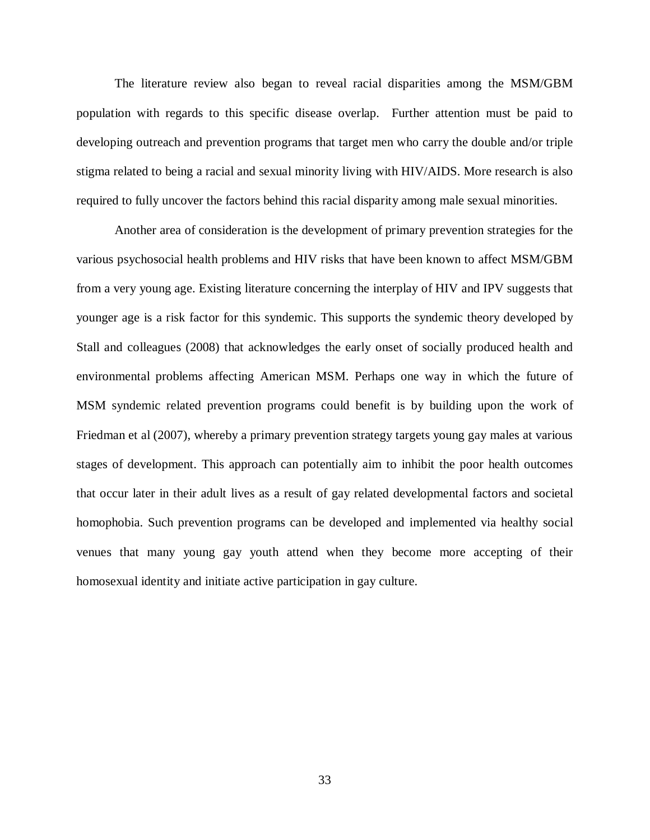The literature review also began to reveal racial disparities among the MSM/GBM population with regards to this specific disease overlap. Further attention must be paid to developing outreach and prevention programs that target men who carry the double and/or triple stigma related to being a racial and sexual minority living with HIV/AIDS. More research is also required to fully uncover the factors behind this racial disparity among male sexual minorities.

Another area of consideration is the development of primary prevention strategies for the various psychosocial health problems and HIV risks that have been known to affect MSM/GBM from a very young age. Existing literature concerning the interplay of HIV and IPV suggests that younger age is a risk factor for this syndemic. This supports the syndemic theory developed by Stall and colleagues (2008) that acknowledges the early onset of socially produced health and environmental problems affecting American MSM. Perhaps one way in which the future of MSM syndemic related prevention programs could benefit is by building upon the work of Friedman et al (2007), whereby a primary prevention strategy targets young gay males at various stages of development. This approach can potentially aim to inhibit the poor health outcomes that occur later in their adult lives as a result of gay related developmental factors and societal homophobia. Such prevention programs can be developed and implemented via healthy social venues that many young gay youth attend when they become more accepting of their homosexual identity and initiate active participation in gay culture.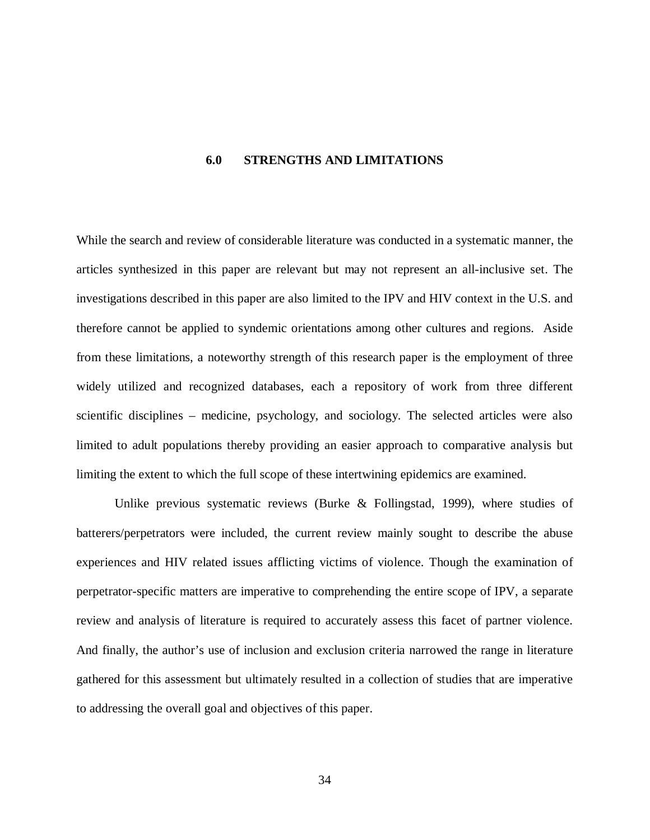#### <span id="page-42-0"></span>**6.0 STRENGTHS AND LIMITATIONS**

While the search and review of considerable literature was conducted in a systematic manner, the articles synthesized in this paper are relevant but may not represent an all-inclusive set. The investigations described in this paper are also limited to the IPV and HIV context in the U.S. and therefore cannot be applied to syndemic orientations among other cultures and regions. Aside from these limitations, a noteworthy strength of this research paper is the employment of three widely utilized and recognized databases, each a repository of work from three different scientific disciplines – medicine, psychology, and sociology. The selected articles were also limited to adult populations thereby providing an easier approach to comparative analysis but limiting the extent to which the full scope of these intertwining epidemics are examined.

Unlike previous systematic reviews (Burke & Follingstad, 1999), where studies of batterers/perpetrators were included, the current review mainly sought to describe the abuse experiences and HIV related issues afflicting victims of violence. Though the examination of perpetrator-specific matters are imperative to comprehending the entire scope of IPV, a separate review and analysis of literature is required to accurately assess this facet of partner violence. And finally, the author's use of inclusion and exclusion criteria narrowed the range in literature gathered for this assessment but ultimately resulted in a collection of studies that are imperative to addressing the overall goal and objectives of this paper.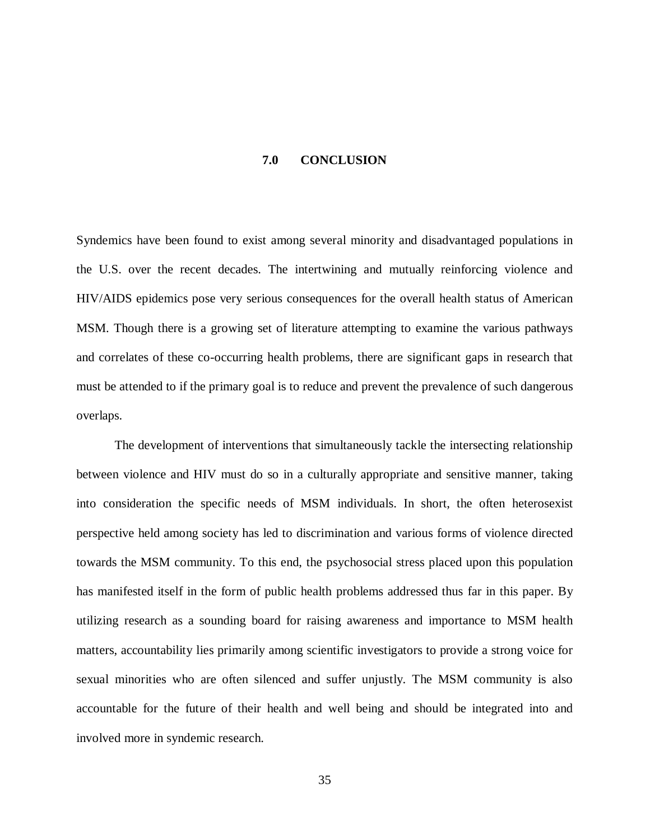#### **7.0 CONCLUSION**

<span id="page-43-0"></span>Syndemics have been found to exist among several minority and disadvantaged populations in the U.S. over the recent decades. The intertwining and mutually reinforcing violence and HIV/AIDS epidemics pose very serious consequences for the overall health status of American MSM. Though there is a growing set of literature attempting to examine the various pathways and correlates of these co-occurring health problems, there are significant gaps in research that must be attended to if the primary goal is to reduce and prevent the prevalence of such dangerous overlaps.

The development of interventions that simultaneously tackle the intersecting relationship between violence and HIV must do so in a culturally appropriate and sensitive manner, taking into consideration the specific needs of MSM individuals. In short, the often heterosexist perspective held among society has led to discrimination and various forms of violence directed towards the MSM community. To this end, the psychosocial stress placed upon this population has manifested itself in the form of public health problems addressed thus far in this paper. By utilizing research as a sounding board for raising awareness and importance to MSM health matters, accountability lies primarily among scientific investigators to provide a strong voice for sexual minorities who are often silenced and suffer unjustly. The MSM community is also accountable for the future of their health and well being and should be integrated into and involved more in syndemic research.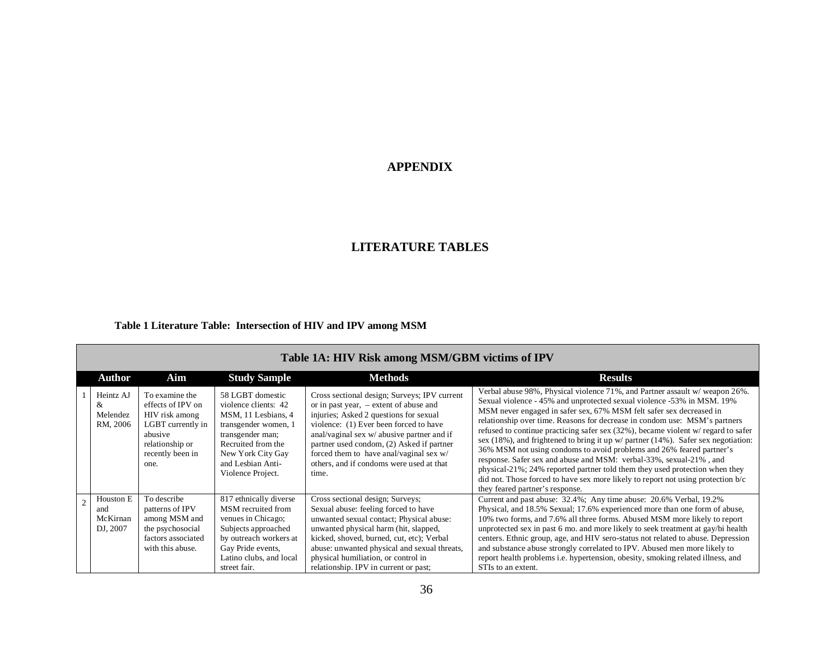## **APPENDIX**

## **LITERATURE TABLES**

### <span id="page-44-0"></span>**Table 1 Literature Table: Intersection of HIV and IPV among MSM**

<span id="page-44-1"></span>

| Table 1A: HIV Risk among MSM/GBM victims of IPV |                                                                                                                                      |                                                                                                                                                                                                  |                                                                                                                                                                                                                                                                                                                                                                         |                                                                                                                                                                                                                                                                                                                                                                                                                                                                                                                                                                                                                                                                                                                                                                                                                                           |  |
|-------------------------------------------------|--------------------------------------------------------------------------------------------------------------------------------------|--------------------------------------------------------------------------------------------------------------------------------------------------------------------------------------------------|-------------------------------------------------------------------------------------------------------------------------------------------------------------------------------------------------------------------------------------------------------------------------------------------------------------------------------------------------------------------------|-------------------------------------------------------------------------------------------------------------------------------------------------------------------------------------------------------------------------------------------------------------------------------------------------------------------------------------------------------------------------------------------------------------------------------------------------------------------------------------------------------------------------------------------------------------------------------------------------------------------------------------------------------------------------------------------------------------------------------------------------------------------------------------------------------------------------------------------|--|
| <b>Author</b>                                   | Aim                                                                                                                                  | <b>Study Sample</b>                                                                                                                                                                              | <b>Methods</b>                                                                                                                                                                                                                                                                                                                                                          | <b>Results</b>                                                                                                                                                                                                                                                                                                                                                                                                                                                                                                                                                                                                                                                                                                                                                                                                                            |  |
| Heintz AJ<br>&<br>Melendez<br>RM, 2006          | To examine the<br>effects of IPV on<br>HIV risk among<br>LGBT currently in<br>abusive<br>relationship or<br>recently been in<br>one. | 58 LGBT domestic<br>violence clients: 42<br>MSM, 11 Lesbians, 4<br>transgender women, 1<br>transgender man;<br>Recruited from the<br>New York City Gay<br>and Lesbian Anti-<br>Violence Project. | Cross sectional design; Surveys; IPV current<br>or in past year, $-$ extent of abuse and<br>injuries; Asked 2 questions for sexual<br>violence: (1) Ever been forced to have<br>anal/vaginal sex w/ abusive partner and if<br>partner used condom, (2) Asked if partner<br>forced them to have anal/vaginal sex w/<br>others, and if condoms were used at that<br>time. | Verbal abuse 98%, Physical violence 71%, and Partner assault w/weapon 26%.<br>Sexual violence - 45% and unprotected sexual violence -53% in MSM. 19%<br>MSM never engaged in safer sex, 67% MSM felt safer sex decreased in<br>relationship over time. Reasons for decrease in condom use: MSM's partners<br>refused to continue practicing safer sex (32%), became violent w/ regard to safer<br>sex (18%), and frightened to bring it up $w/$ partner (14%). Safer sex negotiation:<br>36% MSM not using condoms to avoid problems and 26% feared partner's<br>response. Safer sex and abuse and MSM: verbal-33%, sexual-21%, and<br>physical-21%; 24% reported partner told them they used protection when they<br>did not. Those forced to have sex more likely to report not using protection b/c<br>they feared partner's response. |  |
| Houston E<br>and<br>McKirnan<br>DJ, 2007        | To describe<br>patterns of IPV<br>among MSM and<br>the psychosocial<br>factors associated<br>with this abuse.                        | 817 ethnically diverse<br>MSM recruited from<br>venues in Chicago;<br>Subjects approached<br>by outreach workers at<br>Gay Pride events,<br>Latino clubs, and local<br>street fair.              | Cross sectional design; Surveys;<br>Sexual abuse: feeling forced to have<br>unwanted sexual contact; Physical abuse:<br>unwanted physical harm (hit, slapped,<br>kicked, shoved, burned, cut, etc); Verbal<br>abuse: unwanted physical and sexual threats,<br>physical humiliation, or control in<br>relationship. IPV in current or past;                              | Current and past abuse: 32.4%; Any time abuse: 20.6% Verbal, 19.2%<br>Physical, and 18.5% Sexual; 17.6% experienced more than one form of abuse,<br>10% two forms, and 7.6% all three forms. Abused MSM more likely to report<br>unprotected sex in past 6 mo. and more likely to seek treatment at gay/bi health<br>centers. Ethnic group, age, and HIV sero-status not related to abuse. Depression<br>and substance abuse strongly correlated to IPV. Abused men more likely to<br>report health problems <i>i.e.</i> hypertension, obesity, smoking related illness, and<br>STIs to an extent.                                                                                                                                                                                                                                        |  |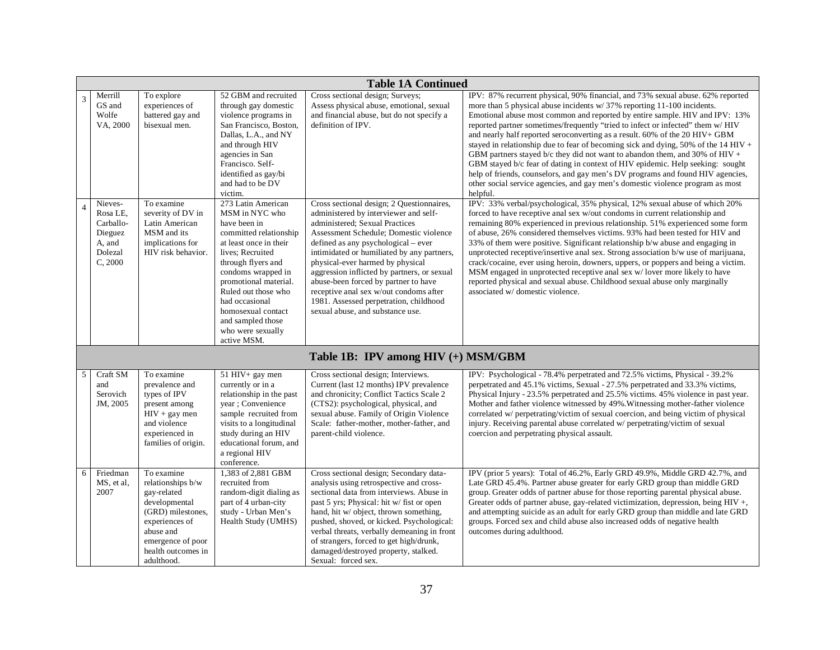|   | <b>Table 1A Continued</b>                                                   |                                                                                                                                                                              |                                                                                                                                                                                                                                                                                                                           |                                                                                                                                                                                                                                                                                                                                                                                                                                                                                                        |                                                                                                                                                                                                                                                                                                                                                                                                                                                                                                                                                                                                                                                                                                                                                                                                                                                    |  |
|---|-----------------------------------------------------------------------------|------------------------------------------------------------------------------------------------------------------------------------------------------------------------------|---------------------------------------------------------------------------------------------------------------------------------------------------------------------------------------------------------------------------------------------------------------------------------------------------------------------------|--------------------------------------------------------------------------------------------------------------------------------------------------------------------------------------------------------------------------------------------------------------------------------------------------------------------------------------------------------------------------------------------------------------------------------------------------------------------------------------------------------|----------------------------------------------------------------------------------------------------------------------------------------------------------------------------------------------------------------------------------------------------------------------------------------------------------------------------------------------------------------------------------------------------------------------------------------------------------------------------------------------------------------------------------------------------------------------------------------------------------------------------------------------------------------------------------------------------------------------------------------------------------------------------------------------------------------------------------------------------|--|
| 3 | Merrill<br>GS and<br>Wolfe<br>VA, 2000                                      | To explore<br>experiences of<br>battered gay and<br>bisexual men.                                                                                                            | 52 GBM and recruited<br>through gay domestic<br>violence programs in<br>San Francisco, Boston,<br>Dallas, L.A., and NY<br>and through HIV<br>agencies in San<br>Francisco. Self-<br>identified as gay/bi<br>and had to be DV<br>victim.                                                                                   | Cross sectional design; Surveys;<br>Assess physical abuse, emotional, sexual<br>and financial abuse, but do not specify a<br>definition of IPV.                                                                                                                                                                                                                                                                                                                                                        | IPV: 87% recurrent physical, 90% financial, and 73% sexual abuse. 62% reported<br>more than 5 physical abuse incidents w/37% reporting 11-100 incidents.<br>Emotional abuse most common and reported by entire sample. HIV and IPV: 13%<br>reported partner sometimes/frequently "tried to infect or infected" them w/ HIV<br>and nearly half reported seroconverting as a result. 60% of the 20 HIV+ GBM<br>stayed in relationship due to fear of becoming sick and dying, 50% of the $14 HIV +$<br>GBM partners stayed b/c they did not want to abandon them, and 30% of HIV +<br>GBM stayed b/c fear of dating in context of HIV epidemic. Help seeking: sought<br>help of friends, counselors, and gay men's DV programs and found HIV agencies,<br>other social service agencies, and gay men's domestic violence program as most<br>helpful. |  |
| 4 | Nieves-<br>Rosa LE,<br>Carballo-<br>Dieguez<br>A, and<br>Dolezal<br>C, 2000 | To examine<br>severity of DV in<br>Latin American<br>MSM and its<br>implications for<br>HIV risk behavior.                                                                   | 273 Latin American<br>MSM in NYC who<br>have been in<br>committed relationship<br>at least once in their<br>lives; Recruited<br>through flyers and<br>condoms wrapped in<br>promotional material.<br>Ruled out those who<br>had occasional<br>homosexual contact<br>and sampled those<br>who were sexually<br>active MSM. | Cross sectional design; 2 Questionnaires,<br>administered by interviewer and self-<br>administered; Sexual Practices<br>Assessment Schedule: Domestic violence<br>defined as any psychological – ever<br>intimidated or humiliated by any partners,<br>physical-ever harmed by physical<br>aggression inflicted by partners, or sexual<br>abuse-been forced by partner to have<br>receptive anal sex w/out condoms after<br>1981. Assessed perpetration, childhood<br>sexual abuse, and substance use. | IPV: 33% verbal/psychological, 35% physical, 12% sexual abuse of which 20%<br>forced to have receptive anal sex w/out condoms in current relationship and<br>remaining 80% experienced in previous relationship. 51% experienced some form<br>of abuse, 26% considered themselves victims, 93% had been tested for HIV and<br>33% of them were positive. Significant relationship b/w abuse and engaging in<br>unprotected receptive/insertive anal sex. Strong association b/w use of marijuana,<br>crack/cocaine, ever using heroin, downers, uppers, or poppers and being a victim.<br>MSM engaged in unprotected receptive anal sex w/lover more likely to have<br>reported physical and sexual abuse. Childhood sexual abuse only marginally<br>associated w/domestic violence.                                                               |  |
|   |                                                                             |                                                                                                                                                                              |                                                                                                                                                                                                                                                                                                                           | Table 1B: IPV among HIV (+) MSM/GBM                                                                                                                                                                                                                                                                                                                                                                                                                                                                    |                                                                                                                                                                                                                                                                                                                                                                                                                                                                                                                                                                                                                                                                                                                                                                                                                                                    |  |
| 5 | Craft SM<br>and<br>Serovich<br>JM, 2005                                     | To examine<br>prevalence and<br>types of IPV<br>present among<br>$HIV + gay men$<br>and violence<br>experienced in<br>families of origin.                                    | 51 HIV+ gay men<br>currently or in a<br>relationship in the past<br>year ; Convenience<br>sample recruited from<br>visits to a longitudinal<br>study during an HIV<br>educational forum, and<br>a regional HIV<br>conference.                                                                                             | Cross sectional design; Interviews.<br>Current (last 12 months) IPV prevalence<br>and chronicity; Conflict Tactics Scale 2<br>(CTS2): psychological, physical, and<br>sexual abuse. Family of Origin Violence<br>Scale: father-mother, mother-father, and<br>parent-child violence.                                                                                                                                                                                                                    | IPV: Psychological - 78.4% perpetrated and 72.5% victims, Physical - 39.2%<br>perpetrated and 45.1% victims, Sexual - 27.5% perpetrated and 33.3% victims,<br>Physical Injury - 23.5% perpetrated and 25.5% victims. 45% violence in past year.<br>Mother and father violence witnessed by 49%. Witnessing mother-father violence<br>correlated w/ perpetrating/victim of sexual coercion, and being victim of physical<br>injury. Receiving parental abuse correlated w/ perpetrating/victim of sexual<br>coercion and perpetrating physical assault.                                                                                                                                                                                                                                                                                             |  |
| 6 | Friedman<br>MS, et al,<br>2007                                              | To examine<br>relationships b/w<br>gay-related<br>developmental<br>(GRD) milestones,<br>experiences of<br>abuse and<br>emergence of poor<br>health outcomes in<br>adulthood. | 1,383 of 2,881 GBM<br>recruited from<br>random-digit dialing as<br>part of 4 urban-city<br>study - Urban Men's<br>Health Study (UMHS)                                                                                                                                                                                     | Cross sectional design; Secondary data-<br>analysis using retrospective and cross-<br>sectional data from interviews. Abuse in<br>past 5 yrs; Physical: hit w/ fist or open<br>hand, hit w/ object, thrown something,<br>pushed, shoved, or kicked. Psychological:<br>verbal threats, verbally demeaning in front<br>of strangers, forced to get high/drunk,<br>damaged/destroyed property, stalked.<br>Sexual: forced sex.                                                                            | IPV (prior 5 years): Total of 46.2%, Early GRD 49.9%, Middle GRD 42.7%, and<br>Late GRD 45.4%. Partner abuse greater for early GRD group than middle GRD<br>group. Greater odds of partner abuse for those reporting parental physical abuse.<br>Greater odds of partner abuse, gay-related victimization, depression, being HIV+,<br>and attempting suicide as an adult for early GRD group than middle and late GRD<br>groups. Forced sex and child abuse also increased odds of negative health<br>outcomes during adulthood.                                                                                                                                                                                                                                                                                                                   |  |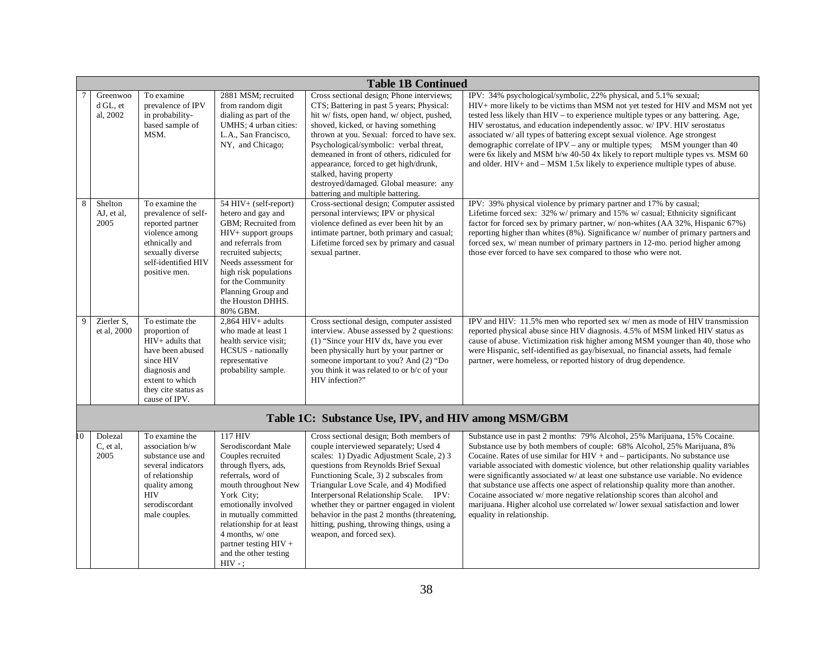|                | <b>Table 1B Continued</b>        |                                                                                                                                                                   |                                                                                                                                                                                                                                                                                                           |                                                                                                                                                                                                                                                                                                                                                                                                                                                                           |                                                                                                                                                                                                                                                                                                                                                                                                                                                                                                                                                                                                                                                                                                   |  |
|----------------|----------------------------------|-------------------------------------------------------------------------------------------------------------------------------------------------------------------|-----------------------------------------------------------------------------------------------------------------------------------------------------------------------------------------------------------------------------------------------------------------------------------------------------------|---------------------------------------------------------------------------------------------------------------------------------------------------------------------------------------------------------------------------------------------------------------------------------------------------------------------------------------------------------------------------------------------------------------------------------------------------------------------------|---------------------------------------------------------------------------------------------------------------------------------------------------------------------------------------------------------------------------------------------------------------------------------------------------------------------------------------------------------------------------------------------------------------------------------------------------------------------------------------------------------------------------------------------------------------------------------------------------------------------------------------------------------------------------------------------------|--|
|                | Greenwoo<br>d GL, et<br>al, 2002 | To examine<br>prevalence of IPV<br>in probability-<br>based sample of<br>MSM.                                                                                     | 2881 MSM; recruited<br>from random digit<br>dialing as part of the<br>UMHS; 4 urban cities:<br>L.A., San Francisco,<br>NY, and Chicago;                                                                                                                                                                   | Cross sectional design; Phone interviews;<br>CTS; Battering in past 5 years; Physical:<br>hit w/ fists, open hand, w/ object, pushed,<br>shoved, kicked, or having something<br>thrown at you. Sexual: forced to have sex.<br>Psychological/symbolic: verbal threat,<br>demeaned in front of others, ridiculed for<br>appearance, forced to get high/drunk,<br>stalked, having property<br>destroyed/damaged. Global measure: any<br>battering and multiple battering.    | IPV: 34% psychological/symbolic, 22% physical, and 5.1% sexual;<br>HIV+ more likely to be victims than MSM not yet tested for HIV and MSM not yet<br>tested less likely than HIV - to experience multiple types or any battering. Age,<br>HIV serostatus, and education independently assoc. w/ IPV. HIV serostatus<br>associated w/ all types of battering except sexual violence. Age strongest<br>demographic correlate of IPV – any or multiple types; MSM younger than $40$<br>were 6x likely and MSM b/w 40-50 4x likely to report multiple types vs. MSM 60<br>and older. $HIV+$ and $-MSM$ 1.5x likely to experience multiple types of abuse.                                             |  |
| 8              | Shelton<br>AJ, et al,<br>2005    | To examine the<br>prevalence of self-<br>reported partner<br>violence among<br>ethnically and<br>sexually diverse<br>self-identified HIV<br>positive men.         | 54 HIV+ (self-report)<br>hetero and gay and<br>GBM; Recruited from<br>HIV+ support groups<br>and referrals from<br>recruited subjects;<br>Needs assessment for<br>high risk populations<br>for the Community<br>Planning Group and<br>the Houston DHHS.<br>80% GBM.                                       | Cross-sectional design; Computer assisted<br>personal interviews; IPV or physical<br>violence defined as ever been hit by an<br>intimate partner, both primary and casual;<br>Lifetime forced sex by primary and casual<br>sexual partner.                                                                                                                                                                                                                                | IPV: 39% physical violence by primary partner and 17% by casual;<br>Lifetime forced sex: 32% w/ primary and 15% w/ casual; Ethnicity significant<br>factor for forced sex by primary partner, w/ non-whites (AA 32%, Hispanic 67%)<br>reporting higher than whites (8%). Significance w/ number of primary partners and<br>forced sex, w/ mean number of primary partners in 12-mo. period higher among<br>those ever forced to have sex compared to those who were not.                                                                                                                                                                                                                          |  |
| 9              | Zierler S.<br>et al, 2000        | To estimate the<br>proportion of<br>HIV+ adults that<br>have been abused<br>since HIV<br>diagnosis and<br>extent to which<br>they cite status as<br>cause of IPV. | $2.864$ HIV + adults<br>who made at least 1<br>health service visit;<br><b>HCSUS</b> - nationally<br>representative<br>probability sample.                                                                                                                                                                | Cross sectional design, computer assisted<br>interview. Abuse assessed by 2 questions:<br>(1) "Since your HIV dx, have you ever<br>been physically hurt by your partner or<br>someone important to you? And (2) "Do<br>you think it was related to or b/c of your<br>HIV infection?"                                                                                                                                                                                      | IPV and HIV: 11.5% men who reported sex w/men as mode of HIV transmission<br>reported physical abuse since HIV diagnosis. 4.5% of MSM linked HIV status as<br>cause of abuse. Victimization risk higher among MSM younger than 40, those who<br>were Hispanic, self-identified as gay/bisexual, no financial assets, had female<br>partner, were homeless, or reported history of drug dependence.                                                                                                                                                                                                                                                                                                |  |
|                |                                  |                                                                                                                                                                   |                                                                                                                                                                                                                                                                                                           | Table 1C: Substance Use, IPV, and HIV among MSM/GBM                                                                                                                                                                                                                                                                                                                                                                                                                       |                                                                                                                                                                                                                                                                                                                                                                                                                                                                                                                                                                                                                                                                                                   |  |
| $\overline{0}$ | Dolezal<br>C, et al,<br>2005     | To examine the<br>association b/w<br>substance use and<br>several indicators<br>of relationship<br>quality among<br><b>HIV</b><br>serodiscordant<br>male couples. | 117 HIV<br>Serodiscordant Male<br>Couples recruited<br>through flyers, ads,<br>referrals, word of<br>mouth throughout New<br>York City;<br>emotionally involved<br>in mutually committed<br>relationship for at least<br>4 months, w/ one<br>partner testing $HIV +$<br>and the other testing<br>$HIV -;$ | Cross sectional design; Both members of<br>couple interviewed separately; Used 4<br>scales: 1) Dyadic Adjustment Scale, 2) 3<br>questions from Reynolds Brief Sexual<br>Functioning Scale, 3) 2 subscales from<br>Triangular Love Scale, and 4) Modified<br>Interpersonal Relationship Scale. IPV:<br>whether they or partner engaged in violent<br>behavior in the past 2 months (threatening,<br>hitting, pushing, throwing things, using a<br>weapon, and forced sex). | Substance use in past 2 months: 79% Alcohol, 25% Marijuana, 15% Cocaine.<br>Substance use by both members of couple: 68% Alcohol, 25% Marijuana, 8%<br>Cocaine. Rates of use similar for $HIV + and -$ participants. No substance use<br>variable associated with domestic violence, but other relationship quality variables<br>were significantly associated w/ at least one substance use variable. No evidence<br>that substance use affects one aspect of relationship quality more than another.<br>Cocaine associated w/ more negative relationship scores than alcohol and<br>marijuana. Higher alcohol use correlated w/lower sexual satisfaction and lower<br>equality in relationship. |  |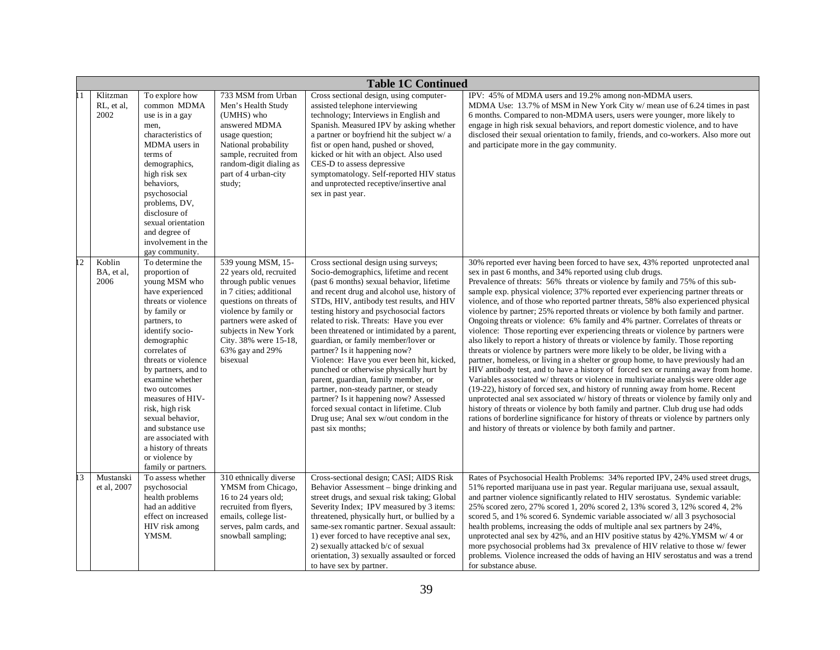|    | <b>Table 1C Continued</b>      |                                                                                                                                                                                                                                                                                                                                                                                                                                           |                                                                                                                                                                                                                                                                 |                                                                                                                                                                                                                                                                                                                                                                                                                                                                                                                                                                                                                                                                                                                                                                     |                                                                                                                                                                                                                                                                                                                                                                                                                                                                                                                                                                                                                                                                                                                                                                                                                                                                                                                                                                                                                                                                                                                                                                                                                                                                                                                                                                                                                                                                                                                                       |  |
|----|--------------------------------|-------------------------------------------------------------------------------------------------------------------------------------------------------------------------------------------------------------------------------------------------------------------------------------------------------------------------------------------------------------------------------------------------------------------------------------------|-----------------------------------------------------------------------------------------------------------------------------------------------------------------------------------------------------------------------------------------------------------------|---------------------------------------------------------------------------------------------------------------------------------------------------------------------------------------------------------------------------------------------------------------------------------------------------------------------------------------------------------------------------------------------------------------------------------------------------------------------------------------------------------------------------------------------------------------------------------------------------------------------------------------------------------------------------------------------------------------------------------------------------------------------|---------------------------------------------------------------------------------------------------------------------------------------------------------------------------------------------------------------------------------------------------------------------------------------------------------------------------------------------------------------------------------------------------------------------------------------------------------------------------------------------------------------------------------------------------------------------------------------------------------------------------------------------------------------------------------------------------------------------------------------------------------------------------------------------------------------------------------------------------------------------------------------------------------------------------------------------------------------------------------------------------------------------------------------------------------------------------------------------------------------------------------------------------------------------------------------------------------------------------------------------------------------------------------------------------------------------------------------------------------------------------------------------------------------------------------------------------------------------------------------------------------------------------------------|--|
|    | Klitzman<br>RL, et al.<br>2002 | To explore how<br>common MDMA<br>use is in a gay<br>men,<br>characteristics of<br>MDMA users in<br>terms of<br>demographics,<br>high risk sex<br>behaviors.<br>psychosocial<br>problems, DV,<br>disclosure of<br>sexual orientation<br>and degree of<br>involvement in the<br>gay community.                                                                                                                                              | 733 MSM from Urban<br>Men's Health Study<br>(UMHS) who<br>answered MDMA<br>usage question;<br>National probability<br>sample, recruited from<br>random-digit dialing as<br>part of 4 urban-city<br>study;                                                       | Cross sectional design, using computer-<br>assisted telephone interviewing<br>technology; Interviews in English and<br>Spanish. Measured IPV by asking whether<br>a partner or boyfriend hit the subject w/ a<br>fist or open hand, pushed or shoved,<br>kicked or hit with an object. Also used<br>CES-D to assess depressive<br>symptomatology. Self-reported HIV status<br>and unprotected receptive/insertive anal<br>sex in past year.                                                                                                                                                                                                                                                                                                                         | IPV: 45% of MDMA users and 19.2% among non-MDMA users.<br>MDMA Use: 13.7% of MSM in New York City w/ mean use of 6.24 times in past<br>6 months. Compared to non-MDMA users, users were younger, more likely to<br>engage in high risk sexual behaviors, and report domestic violence, and to have<br>disclosed their sexual orientation to family, friends, and co-workers. Also more out<br>and participate more in the gay community.                                                                                                                                                                                                                                                                                                                                                                                                                                                                                                                                                                                                                                                                                                                                                                                                                                                                                                                                                                                                                                                                                              |  |
|    | Koblin<br>BA, et al,<br>2006   | To determine the<br>proportion of<br>young MSM who<br>have experienced<br>threats or violence<br>by family or<br>partners, to<br>identify socio-<br>demographic<br>correlates of<br>threats or violence<br>by partners, and to<br>examine whether<br>two outcomes<br>measures of HIV-<br>risk, high risk<br>sexual behavior,<br>and substance use<br>are associated with<br>a history of threats<br>or violence by<br>family or partners. | 539 young MSM, 15-<br>22 years old, recruited<br>through public venues<br>in 7 cities; additional<br>questions on threats of<br>violence by family or<br>partners were asked of<br>subjects in New York<br>City. 38% were 15-18,<br>63% gay and 29%<br>bisexual | Cross sectional design using surveys;<br>Socio-demographics, lifetime and recent<br>(past 6 months) sexual behavior, lifetime<br>and recent drug and alcohol use, history of<br>STDs, HIV, antibody test results, and HIV<br>testing history and psychosocial factors<br>related to risk. Threats: Have you ever<br>been threatened or intimidated by a parent,<br>guardian, or family member/lover or<br>partner? Is it happening now?<br>Violence: Have you ever been hit, kicked,<br>punched or otherwise physically hurt by<br>parent, guardian, family member, or<br>partner, non-steady partner, or steady<br>partner? Is it happening now? Assessed<br>forced sexual contact in lifetime. Club<br>Drug use; Anal sex w/out condom in the<br>past six months; | 30% reported ever having been forced to have sex, 43% reported unprotected anal<br>sex in past 6 months, and 34% reported using club drugs.<br>Prevalence of threats: 56% threats or violence by family and 75% of this sub-<br>sample exp. physical violence; 37% reported ever experiencing partner threats or<br>violence, and of those who reported partner threats, 58% also experienced physical<br>violence by partner; 25% reported threats or violence by both family and partner.<br>Ongoing threats or violence: 6% family and 4% partner. Correlates of threats or<br>violence: Those reporting ever experiencing threats or violence by partners were<br>also likely to report a history of threats or violence by family. Those reporting<br>threats or violence by partners were more likely to be older, be living with a<br>partner, homeless, or living in a shelter or group home, to have previously had an<br>HIV antibody test, and to have a history of forced sex or running away from home.<br>Variables associated w/ threats or violence in multivariate analysis were older age<br>(19-22), history of forced sex, and history of running away from home. Recent<br>unprotected anal sex associated w/ history of threats or violence by family only and<br>history of threats or violence by both family and partner. Club drug use had odds<br>rations of borderline significance for history of threats or violence by partners only<br>and history of threats or violence by both family and partner. |  |
| 13 | Mustanski<br>et al, 2007       | To assess whether<br>psychosocial<br>health problems<br>had an additive<br>effect on increased<br>HIV risk among<br>YMSM.                                                                                                                                                                                                                                                                                                                 | 310 ethnically diverse<br>YMSM from Chicago,<br>16 to 24 years old;<br>recruited from flyers,<br>emails, college list-<br>serves, palm cards, and<br>snowball sampling;                                                                                         | Cross-sectional design; CASI; AIDS Risk<br>Behavior Assessment - binge drinking and<br>street drugs, and sexual risk taking; Global<br>Severity Index; IPV measured by 3 items:<br>threatened, physically hurt, or bullied by a<br>same-sex romantic partner. Sexual assault:<br>1) ever forced to have receptive anal sex,<br>2) sexually attacked b/c of sexual<br>orientation, 3) sexually assaulted or forced<br>to have sex by partner.                                                                                                                                                                                                                                                                                                                        | Rates of Psychosocial Health Problems: 34% reported IPV, 24% used street drugs,<br>51% reported marijuana use in past year. Regular marijuana use, sexual assault,<br>and partner violence significantly related to HIV serostatus. Syndemic variable:<br>25% scored zero, 27% scored 1, 20% scored 2, 13% scored 3, 12% scored 4, 2%<br>scored 5, and 1% scored 6. Syndemic variable associated w/ all 3 psychosocial<br>health problems, increasing the odds of multiple anal sex partners by 24%,<br>unprotected anal sex by 42%, and an HIV positive status by 42%. YMSM w/ 4 or<br>more psychosocial problems had 3x prevalence of HIV relative to those w/ fewer<br>problems. Violence increased the odds of having an HIV serostatus and was a trend<br>for substance abuse.                                                                                                                                                                                                                                                                                                                                                                                                                                                                                                                                                                                                                                                                                                                                                   |  |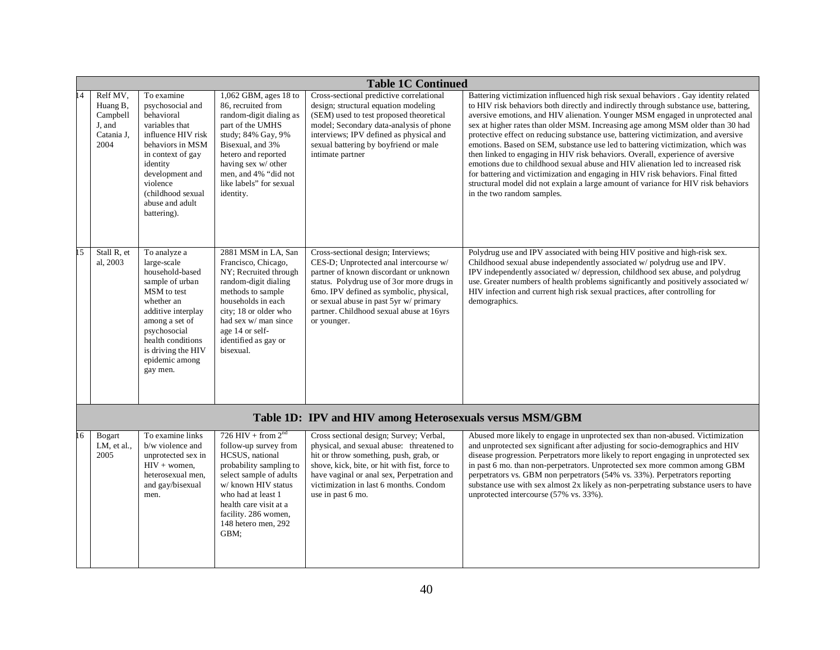|                 | <b>Table 1C Continued</b>                                        |                                                                                                                                                                                                                                 |                                                                                                                                                                                                                                                           |                                                                                                                                                                                                                                                                                                                      |                                                                                                                                                                                                                                                                                                                                                                                                                                                                                                                                                                                                                                                                                                                                                                                                                                                                                                        |  |
|-----------------|------------------------------------------------------------------|---------------------------------------------------------------------------------------------------------------------------------------------------------------------------------------------------------------------------------|-----------------------------------------------------------------------------------------------------------------------------------------------------------------------------------------------------------------------------------------------------------|----------------------------------------------------------------------------------------------------------------------------------------------------------------------------------------------------------------------------------------------------------------------------------------------------------------------|--------------------------------------------------------------------------------------------------------------------------------------------------------------------------------------------------------------------------------------------------------------------------------------------------------------------------------------------------------------------------------------------------------------------------------------------------------------------------------------------------------------------------------------------------------------------------------------------------------------------------------------------------------------------------------------------------------------------------------------------------------------------------------------------------------------------------------------------------------------------------------------------------------|--|
| $\overline{14}$ | Relf MV,<br>Huang B,<br>Campbell<br>J, and<br>Catania J,<br>2004 | To examine<br>psychosocial and<br>behavioral<br>variables that<br>influence HIV risk<br>behaviors in MSM<br>in context of gay<br>identity<br>development and<br>violence<br>(childhood sexual<br>abuse and adult<br>battering). | $1,062$ GBM, ages 18 to<br>86, recruited from<br>random-digit dialing as<br>part of the UMHS<br>study; 84% Gay, 9%<br>Bisexual, and 3%<br>hetero and reported<br>having sex w/ other<br>men, and 4% "did not<br>like labels" for sexual<br>identity.      | Cross-sectional predictive correlational<br>design; structural equation modeling<br>(SEM) used to test proposed theoretical<br>model; Secondary data-analysis of phone<br>interviews; IPV defined as physical and<br>sexual battering by boyfriend or male<br>intimate partner                                       | Battering victimization influenced high risk sexual behaviors . Gay identity related<br>to HIV risk behaviors both directly and indirectly through substance use, battering,<br>aversive emotions, and HIV alienation. Younger MSM engaged in unprotected anal<br>sex at higher rates than older MSM. Increasing age among MSM older than 30 had<br>protective effect on reducing substance use, battering victimization, and aversive<br>emotions. Based on SEM, substance use led to battering victimization, which was<br>then linked to engaging in HIV risk behaviors. Overall, experience of aversive<br>emotions due to childhood sexual abuse and HIV alienation led to increased risk<br>for battering and victimization and engaging in HIV risk behaviors. Final fitted<br>structural model did not explain a large amount of variance for HIV risk behaviors<br>in the two random samples. |  |
| 15              | Stall R, et<br>al, 2003                                          | To analyze a<br>large-scale<br>household-based<br>sample of urban<br>MSM to test<br>whether an<br>additive interplay<br>among a set of<br>psychosocial<br>health conditions<br>is driving the HIV<br>epidemic among<br>gay men. | 2881 MSM in LA, San<br>Francisco, Chicago,<br>NY; Recruited through<br>random-digit dialing<br>methods to sample<br>households in each<br>city; 18 or older who<br>had sex w/ man since<br>age 14 or self-<br>identified as gay or<br>bisexual.           | Cross-sectional design; Interviews;<br>CES-D; Unprotected anal intercourse w/<br>partner of known discordant or unknown<br>status. Polydrug use of 3or more drugs in<br>6mo. IPV defined as symbolic, physical,<br>or sexual abuse in past 5yr w/ primary<br>partner. Childhood sexual abuse at 16yrs<br>or younger. | Polydrug use and IPV associated with being HIV positive and high-risk sex.<br>Childhood sexual abuse independently associated w/polydrug use and IPV.<br>IPV independently associated w/depression, childhood sex abuse, and polydrug<br>use. Greater numbers of health problems significantly and positively associated w/<br>HIV infection and current high risk sexual practices, after controlling for<br>demographics.                                                                                                                                                                                                                                                                                                                                                                                                                                                                            |  |
|                 |                                                                  |                                                                                                                                                                                                                                 |                                                                                                                                                                                                                                                           | Table 1D: IPV and HIV among Heterosexuals versus MSM/GBM                                                                                                                                                                                                                                                             |                                                                                                                                                                                                                                                                                                                                                                                                                                                                                                                                                                                                                                                                                                                                                                                                                                                                                                        |  |
| 16              | <b>Bogart</b><br>$LM$ , et al.,<br>2005                          | To examine links<br>b/w violence and<br>unprotected sex in<br>$HIV + women$ ,<br>heterosexual men,<br>and gay/bisexual<br>men.                                                                                                  | $726$ HIV + from $2^{nd}$<br>follow-up survey from<br>HCSUS, national<br>probability sampling to<br>select sample of adults<br>w/ known HIV status<br>who had at least 1<br>health care visit at a<br>facility. 286 women,<br>148 hetero men, 292<br>GBM; | Cross sectional design; Survey; Verbal,<br>physical, and sexual abuse: threatened to<br>hit or throw something, push, grab, or<br>shove, kick, bite, or hit with fist, force to<br>have vaginal or anal sex, Perpetration and<br>victimization in last 6 months. Condom<br>use in past 6 mo.                         | Abused more likely to engage in unprotected sex than non-abused. Victimization<br>and unprotected sex significant after adjusting for socio-demographics and HIV<br>disease progression. Perpetrators more likely to report engaging in unprotected sex<br>in past 6 mo. than non-perpetrators. Unprotected sex more common among GBM<br>perpetrators vs. GBM non perpetrators (54% vs. 33%). Perpetrators reporting<br>substance use with sex almost 2x likely as non-perpetrating substance users to have<br>unprotected intercourse (57% vs. 33%).                                                                                                                                                                                                                                                                                                                                                  |  |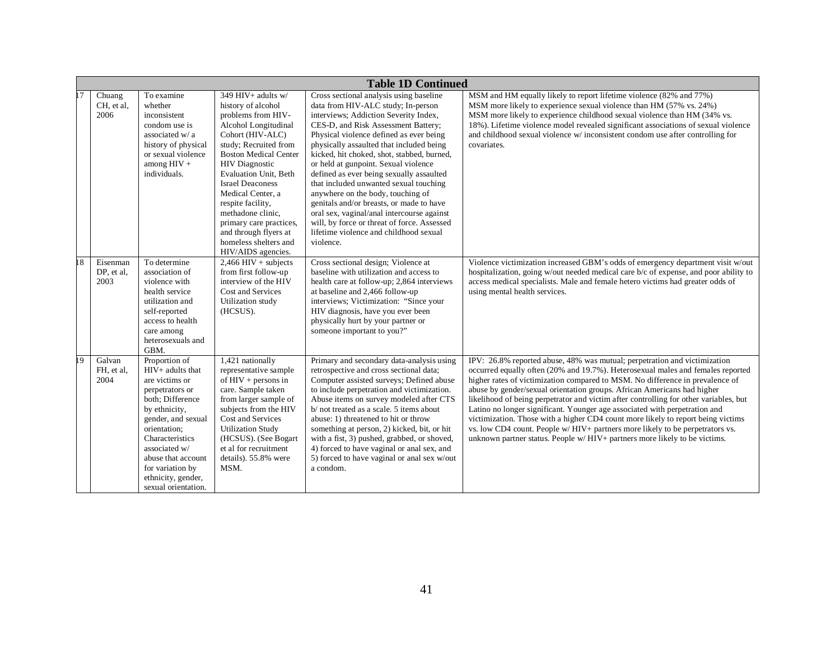|    | <b>Table 1D Continued</b>      |                                                                                                                                                                                                                                                                              |                                                                                                                                                                                                                                                                                                                                                                                                                    |                                                                                                                                                                                                                                                                                                                                                                                                                                                                                                                                                                                                                                                                       |                                                                                                                                                                                                                                                                                                                                                                                                                                                                                                                                                                                                                                                                                                                                                  |  |  |
|----|--------------------------------|------------------------------------------------------------------------------------------------------------------------------------------------------------------------------------------------------------------------------------------------------------------------------|--------------------------------------------------------------------------------------------------------------------------------------------------------------------------------------------------------------------------------------------------------------------------------------------------------------------------------------------------------------------------------------------------------------------|-----------------------------------------------------------------------------------------------------------------------------------------------------------------------------------------------------------------------------------------------------------------------------------------------------------------------------------------------------------------------------------------------------------------------------------------------------------------------------------------------------------------------------------------------------------------------------------------------------------------------------------------------------------------------|--------------------------------------------------------------------------------------------------------------------------------------------------------------------------------------------------------------------------------------------------------------------------------------------------------------------------------------------------------------------------------------------------------------------------------------------------------------------------------------------------------------------------------------------------------------------------------------------------------------------------------------------------------------------------------------------------------------------------------------------------|--|--|
|    | Chuang<br>CH, et al.<br>2006   | To examine<br>whether<br>inconsistent<br>condom use is<br>associated w/ a<br>history of physical<br>or sexual violence<br>among HIV $\pm$<br>individuals.                                                                                                                    | 349 HIV+ adults w/<br>history of alcohol<br>problems from HIV-<br>Alcohol Longitudinal<br>Cohort (HIV-ALC)<br>study; Recruited from<br><b>Boston Medical Center</b><br><b>HIV</b> Diagnostic<br>Evaluation Unit, Beth<br><b>Israel Deaconess</b><br>Medical Center, a<br>respite facility,<br>methadone clinic,<br>primary care practices,<br>and through flyers at<br>homeless shelters and<br>HIV/AIDS agencies. | Cross sectional analysis using baseline<br>data from HIV-ALC study; In-person<br>interviews; Addiction Severity Index,<br>CES-D, and Risk Assessment Battery;<br>Physical violence defined as ever being<br>physically assaulted that included being<br>kicked, hit choked, shot, stabbed, burned,<br>or held at gunpoint. Sexual violence<br>defined as ever being sexually assaulted<br>that included unwanted sexual touching<br>anywhere on the body, touching of<br>genitals and/or breasts, or made to have<br>oral sex, vaginal/anal intercourse against<br>will, by force or threat of force. Assessed<br>lifetime violence and childhood sexual<br>violence. | MSM and HM equally likely to report lifetime violence (82% and 77%)<br>MSM more likely to experience sexual violence than HM (57% vs. 24%)<br>MSM more likely to experience childhood sexual violence than HM (34% vs.<br>18%). Lifetime violence model revealed significant associations of sexual violence<br>and childhood sexual violence w/ inconsistent condom use after controlling for<br>covariates.                                                                                                                                                                                                                                                                                                                                    |  |  |
| 18 | Eisenman<br>DP, et al.<br>2003 | To determine<br>association of<br>violence with<br>health service<br>utilization and<br>self-reported<br>access to health<br>care among<br>heterosexuals and<br>GBM.                                                                                                         | $2,466$ HIV + subjects<br>from first follow-up<br>interview of the HIV<br>Cost and Services<br>Utilization study<br>(HCSUS).                                                                                                                                                                                                                                                                                       | Cross sectional design; Violence at<br>baseline with utilization and access to<br>health care at follow-up; 2,864 interviews<br>at baseline and 2,466 follow-up<br>interviews; Victimization: "Since your<br>HIV diagnosis, have you ever been<br>physically hurt by your partner or<br>someone important to you?"                                                                                                                                                                                                                                                                                                                                                    | Violence victimization increased GBM's odds of emergency department visit w/out<br>hospitalization, going w/out needed medical care b/c of expense, and poor ability to<br>access medical specialists. Male and female hetero victims had greater odds of<br>using mental health services.                                                                                                                                                                                                                                                                                                                                                                                                                                                       |  |  |
| 19 | Galvan<br>FH, et al,<br>2004   | Proportion of<br>HIV+ adults that<br>are victims or<br>perpetrators or<br>both; Difference<br>by ethnicity,<br>gender, and sexual<br>orientation;<br>Characteristics<br>associated w/<br>abuse that account<br>for variation by<br>ethnicity, gender,<br>sexual orientation. | 1,421 nationally<br>representative sample<br>of $HIV$ + persons in<br>care. Sample taken<br>from larger sample of<br>subjects from the HIV<br>Cost and Services<br><b>Utilization Study</b><br>(HCSUS). (See Bogart<br>et al for recruitment<br>details). 55.8% were<br>MSM.                                                                                                                                       | Primary and secondary data-analysis using<br>retrospective and cross sectional data;<br>Computer assisted surveys; Defined abuse<br>to include perpetration and victimization.<br>Abuse items on survey modeled after CTS<br>b/ not treated as a scale. 5 items about<br>abuse: 1) threatened to hit or throw<br>something at person, 2) kicked, bit, or hit<br>with a fist, 3) pushed, grabbed, or shoved,<br>4) forced to have vaginal or anal sex, and<br>5) forced to have vaginal or anal sex w/out<br>a condom.                                                                                                                                                 | IPV: 26.8% reported abuse, 48% was mutual; perpetration and victimization<br>occurred equally often (20% and 19.7%). Heterosexual males and females reported<br>higher rates of victimization compared to MSM. No difference in prevalence of<br>abuse by gender/sexual orientation groups. African Americans had higher<br>likelihood of being perpetrator and victim after controlling for other variables, but<br>Latino no longer significant. Younger age associated with perpetration and<br>victimization. Those with a higher CD4 count more likely to report being victims<br>vs. low CD4 count. People w/HIV+ partners more likely to be perpetrators vs.<br>unknown partner status. People w/HIV+ partners more likely to be victims. |  |  |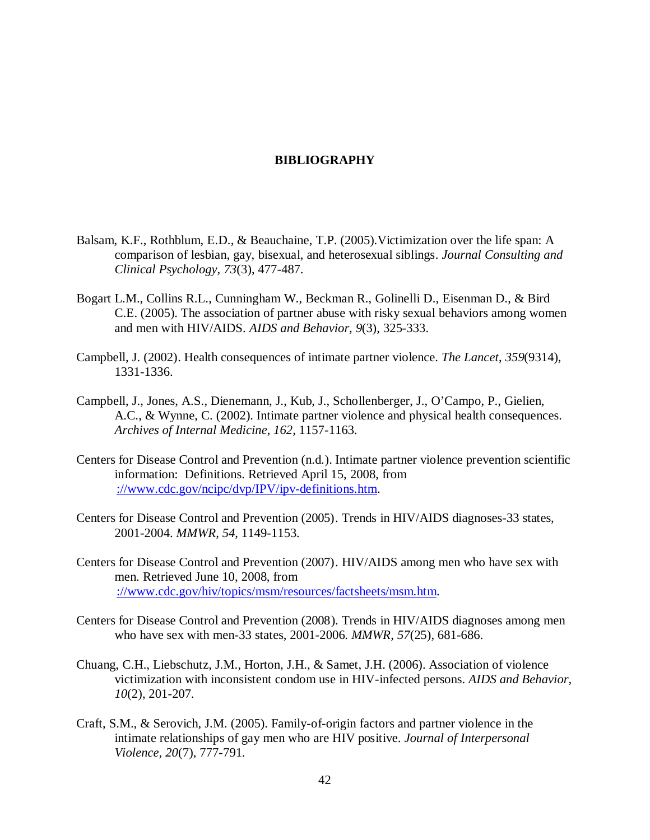#### **BIBLIOGRAPHY**

- <span id="page-50-0"></span>Balsam, K.F., Rothblum, E.D., & Beauchaine, T.P. (2005).Victimization over the life span: A comparison of lesbian, gay, bisexual, and heterosexual siblings. *Journal Consulting and Clinical Psychology, 73*(3), 477-487.
- Bogart L.M., Collins R.L., Cunningham W., Beckman R., Golinelli D., Eisenman D., & Bird C.E. (2005). The association of partner abuse with risky sexual behaviors among women and men with HIV/AIDS. *AIDS and Behavior*, *9*(3), 325-333.
- Campbell, J. (2002). Health consequences of intimate partner violence. *The Lancet*, *359*(9314), 1331-1336.
- Campbell, J., Jones, A.S., Dienemann, J., Kub, J., Schollenberger, J., O'Campo, P., Gielien, A.C., & Wynne, C. (2002). Intimate partner violence and physical health consequences. *Archives of Internal Medicine, 162,* 1157-1163.
- Centers for Disease Control and Prevention (n.d.). Intimate partner violence prevention scientific information: Definitions. Retrieved April 15, 2008, from [://www.cdc.gov/ncipc/dvp/IPV/ipv-definitions.htm.](http://www.cdc.gov/ncipc/dvp/IPV/ipv-definitions.htm)
- Centers for Disease Control and Prevention (2005). Trends in HIV/AIDS diagnoses-33 states, 2001-2004. *MMWR, 54,* 1149-1153.
- Centers for Disease Control and Prevention (2007). HIV/AIDS among men who have sex with men. Retrieved June 10, 2008, from [://www.cdc.gov/hiv/topics/msm/resources/factsheets/msm.htm.](http://www.cdc.gov/hiv/topics/msm/resources/factsheets/msm.htm)
- Centers for Disease Control and Prevention (2008). Trends in HIV/AIDS diagnoses among men who have sex with men-33 states, 2001-2006. *MMWR, 57*(25)*,* 681-686.
- Chuang, C.H., Liebschutz, J.M., Horton, J.H., & Samet, J.H. (2006). Association of violence victimization with inconsistent condom use in HIV-infected persons. *AIDS and Behavior, 10*(2), 201-207.
- Craft, S.M., & Serovich, J.M. (2005). Family-of-origin factors and partner violence in the intimate relationships of gay men who are HIV positive. *Journal of Interpersonal Violence, 20*(7), 777-791.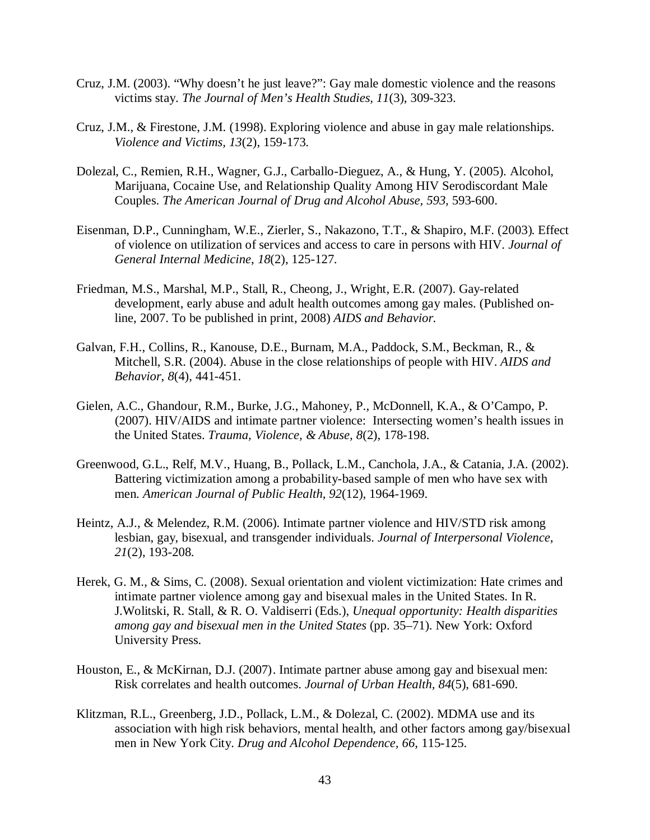- Cruz, J.M. (2003). "Why doesn't he just leave?": Gay male domestic violence and the reasons victims stay. *The Journal of Men's Health Studies, 11*(3), 309-323.
- Cruz, J.M., & Firestone, J.M. (1998). Exploring violence and abuse in gay male relationships. *Violence and Victims, 13*(2), 159-173.
- Dolezal, C., Remien, R.H., Wagner, G.J., Carballo-Dieguez, A., & Hung, Y. (2005). Alcohol, Marijuana, Cocaine Use, and Relationship Quality Among HIV Serodiscordant Male Couples. *The American Journal of Drug and Alcohol Abuse, 593,* 593-600.
- Eisenman, D.P., Cunningham, W.E., Zierler, S., Nakazono, T.T., & Shapiro, M.F. (2003). Effect of violence on utilization of services and access to care in persons with HIV. *Journal of General Internal Medicine*, *18*(2), 125-127.
- Friedman, M.S., Marshal, M.P., Stall, R., Cheong, J., Wright, E.R. (2007). Gay-related development, early abuse and adult health outcomes among gay males. (Published online, 2007. To be published in print, 2008) *AIDS and Behavior.*
- Galvan, F.H., Collins, R., Kanouse, D.E., Burnam, M.A., Paddock, S.M., Beckman, R., & Mitchell, S.R. (2004). Abuse in the close relationships of people with HIV. *AIDS and Behavior*, *8*(4), 441-451.
- Gielen, A.C., Ghandour, R.M., Burke, J.G., Mahoney, P., McDonnell, K.A., & O'Campo, P. (2007). HIV/AIDS and intimate partner violence: Intersecting women's health issues in the United States. *Trauma, Violence, & Abuse, 8*(2), 178-198.
- Greenwood, G.L., Relf, M.V., Huang, B., Pollack, L.M., Canchola, J.A., & Catania, J.A. (2002). Battering victimization among a probability-based sample of men who have sex with men. *American Journal of Public Health*, *92*(12), 1964-1969.
- Heintz, A.J., & Melendez, R.M. (2006). Intimate partner violence and HIV/STD risk among lesbian, gay, bisexual, and transgender individuals. *Journal of Interpersonal Violence*, *21*(2), 193-208.
- Herek, G. M., & Sims, C. (2008). Sexual orientation and violent victimization: Hate crimes and intimate partner violence among gay and bisexual males in the United States. In R. J.Wolitski, R. Stall, & R. O. Valdiserri (Eds.), *Unequal opportunity: Health disparities among gay and bisexual men in the United States* (pp. 35–71). New York: Oxford University Press.
- Houston, E., & McKirnan, D.J. (2007). Intimate partner abuse among gay and bisexual men: Risk correlates and health outcomes. *Journal of Urban Health, 84*(5), 681-690.
- Klitzman, R.L., Greenberg, J.D., Pollack, L.M., & Dolezal, C. (2002). MDMA use and its association with high risk behaviors, mental health, and other factors among gay/bisexual men in New York City. *Drug and Alcohol Dependence, 66*, 115-125.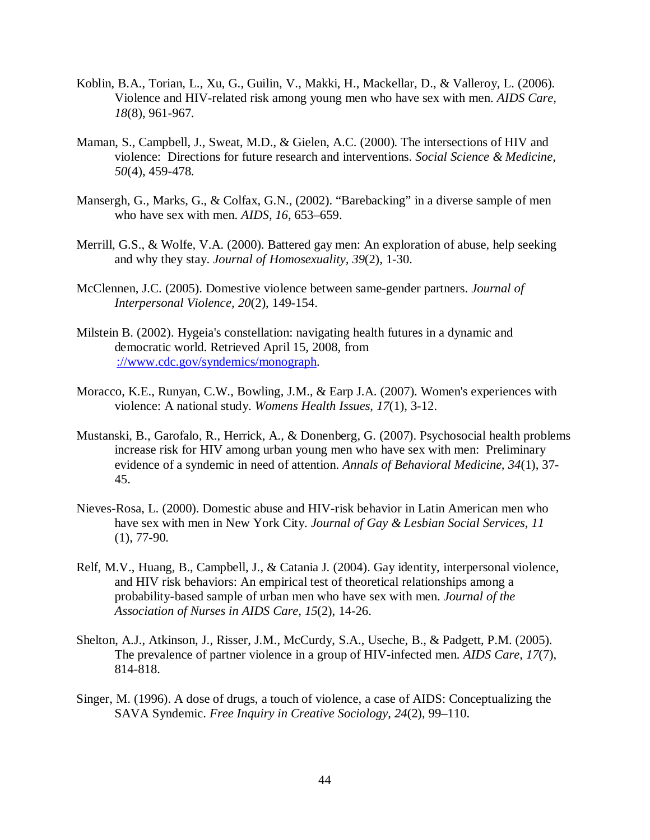- Koblin, B.A., Torian, L., Xu, G., Guilin, V., Makki, H., Mackellar, D., & Valleroy, L. (2006). Violence and HIV-related risk among young men who have sex with men. *AIDS Care, 18*(8), 961-967.
- Maman, S., Campbell, J., Sweat, M.D., & Gielen, A.C. (2000). The intersections of HIV and violence: Directions for future research and interventions. *Social Science & Medicine, 50*(4), 459-478.
- Mansergh, G., Marks, G., & Colfax, G.N., (2002). "Barebacking" in a diverse sample of men who have sex with men. *AIDS*, *16*, 653–659.
- Merrill, G.S., & Wolfe, V.A. (2000). Battered gay men: An exploration of abuse, help seeking and why they stay. *Journal of Homosexuality, 39*(2), 1-30.
- McClennen, J.C. (2005). Domestive violence between same-gender partners. *Journal of Interpersonal Violence, 20*(2), 149-154.
- Milstein B. (2002). Hygeia's constellation: navigating health futures in a dynamic and democratic world. Retrieved April 15, 2008, from [://www.cdc.gov/syndemics/monograph.](http://www.cdc.gov/syndemics/monograph)
- Moracco, K.E., Runyan, C.W., Bowling, J.M., & Earp J.A. (2007). Women's experiences with violence: A national study. *Womens Health Issues, 17*(1), 3-12.
- Mustanski, B., Garofalo, R., Herrick, A., & Donenberg, G. (2007). Psychosocial health problems increase risk for HIV among urban young men who have sex with men: Preliminary evidence of a syndemic in need of attention. *Annals of Behavioral Medicine, 34*(1), 37- 45.
- Nieves-Rosa, L. (2000). Domestic abuse and HIV-risk behavior in Latin American men who have sex with men in New York City. *Journal of Gay & Lesbian Social Services, 11* (1), 77-90.
- Relf, M.V., Huang, B., Campbell, J., & Catania J. (2004). Gay identity, interpersonal violence, and HIV risk behaviors: An empirical test of theoretical relationships among a probability-based sample of urban men who have sex with men. *Journal of the Association of Nurses in AIDS Care, 15*(2), 14-26.
- Shelton, A.J., Atkinson, J., Risser, J.M., McCurdy, S.A., Useche, B., & Padgett, P.M. (2005). The prevalence of partner violence in a group of HIV-infected men. *AIDS Care, 17*(7), 814-818.
- Singer, M. (1996). A dose of drugs, a touch of violence, a case of AIDS: Conceptualizing the SAVA Syndemic. *Free Inquiry in Creative Sociology, 24*(2), 99–110.